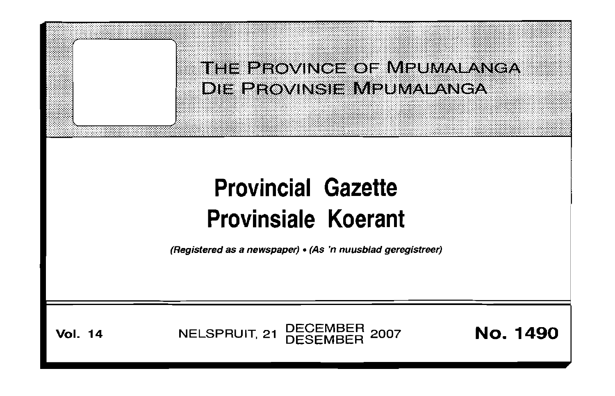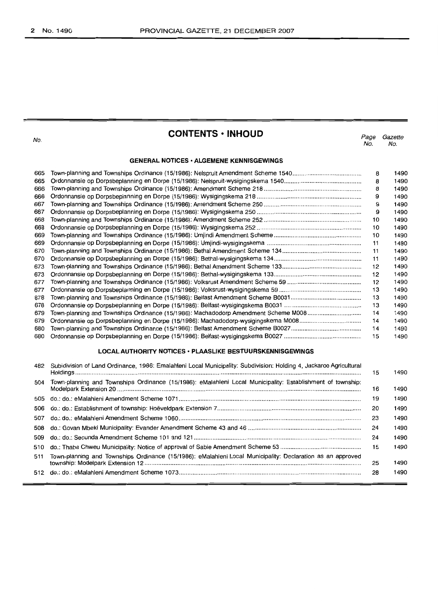No.

## **CONTENTS • INHOUD**

| Page | Gazette |
|------|---------|
| No.  | No.     |

### **GENERAL NOTICES· ALGEMENE KENNISGEWINGS**

| 665 |                                                                                    | 8  | 1490 |
|-----|------------------------------------------------------------------------------------|----|------|
| 665 |                                                                                    | 8  | 1490 |
| 666 |                                                                                    | 8  | 1490 |
| 666 |                                                                                    | 9  | 1490 |
| 667 |                                                                                    | 9  | 1490 |
| 667 |                                                                                    | 9  | 1490 |
| 668 |                                                                                    | 10 | 1490 |
| 668 |                                                                                    | 10 | 1490 |
| 669 |                                                                                    | 10 | 1490 |
| 669 |                                                                                    | 11 | 1490 |
| 670 |                                                                                    | 11 | 1490 |
| 670 |                                                                                    | 11 | 1490 |
| 673 |                                                                                    | 12 | 1490 |
| 673 |                                                                                    | 12 | 1490 |
| 677 |                                                                                    | 12 | 1490 |
| 677 |                                                                                    | 13 | 1490 |
| 678 |                                                                                    | 13 | 1490 |
| 678 |                                                                                    | 13 | 1490 |
| 679 | Town-planning and Townships Ordinance (15/1986): Machadodorp Amendment Scheme M008 | 14 | 1490 |
| 679 |                                                                                    | 14 | 1490 |
| 680 |                                                                                    | 14 | 1490 |
| 680 |                                                                                    | 15 | 1490 |

#### **LOCAL AUTHORITY NOTICES· PLAASLIKE BESTUURSKENNISGEWINGS**

| 482 | Subidivision of Land Ordinance, 1986: Emalahleni Local Municipality: Subdivision: Holding 4, Jackaroo Agricultural |    | 1490 |
|-----|--------------------------------------------------------------------------------------------------------------------|----|------|
| 504 | Town-planning and Townships Ordinance (15/1986): eMalahleni Local Municipality: Establishment of township:         | 16 | 1490 |
| 505 |                                                                                                                    | 19 | 1490 |
| 506 |                                                                                                                    | 20 | 1490 |
| 507 |                                                                                                                    | 23 | 1490 |
| 508 |                                                                                                                    | 24 | 1490 |
| 509 |                                                                                                                    | 24 | 1490 |
| 510 |                                                                                                                    | 15 | 1490 |
| 511 | Town-planning and Townships Ordinance (15/1986): eMalahleni Local Municipality: Declaration as an approved         | 25 | 1490 |
|     |                                                                                                                    | 28 | 1490 |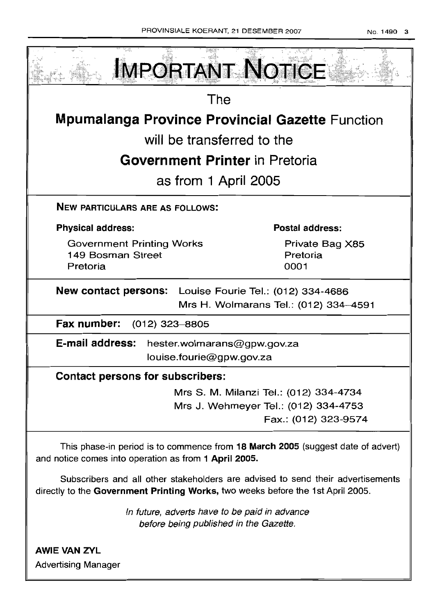

Subscribers and all other stakeholders are advised to send their advertisements directly to the Government Printing Works, two weeks before the 1st April 2005.

> In future, adverts have to be paid in advance before being published in the Gazette.

AWIE VAN ZVL Advertising Manager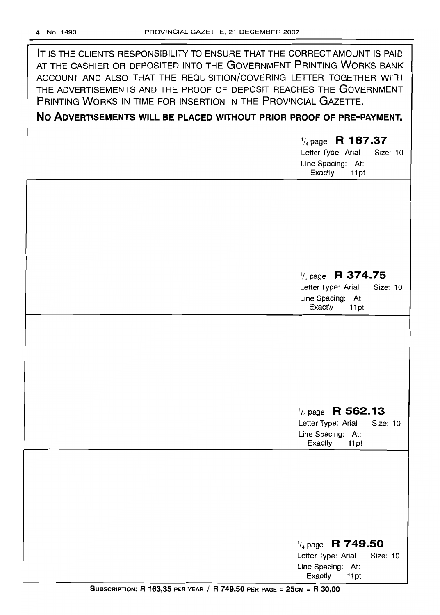**IT IS THE CLIENTS RESPONSIBILITY TO ENSURE THAT THE CORRECT AMOUNT IS PAID AT THE CASHIER OR DEPOSITED INTO THE GOVERNMENT PRINTING WORKS BANK ACCOUNT AND ALSO THAT THE REQUISITION/COVERING LEITER TOGETHER WITH THE ADVERTISEMENTS AND THE PROOF OF DEPOSIT REACHES THE GOVERNMENT PRINTING WORKS IN TIME FOR INSERTION IN THE PROVINCIAL GAzETrE.**

### **No ADVERTISEMENTS WILL BE PLACED WITHOUT PRIOR PROOF OF PRE-PAYMENT.**

### 1/4 page R **187.37**

Letter Type: Arial Size: 10 Line Spacing: At: Exactly **11pt** 

### 1/4 page **R 374.75**

Letter Type: Arial Size: 10 Line Spacing: At: Exactly 11pt

<sup>1</sup>/<sub>4</sub> page **R 562.13**<br>Letter Type: Arial Size: 10 Letter Type: Arial Line Spacing: At: Exactly **11pt**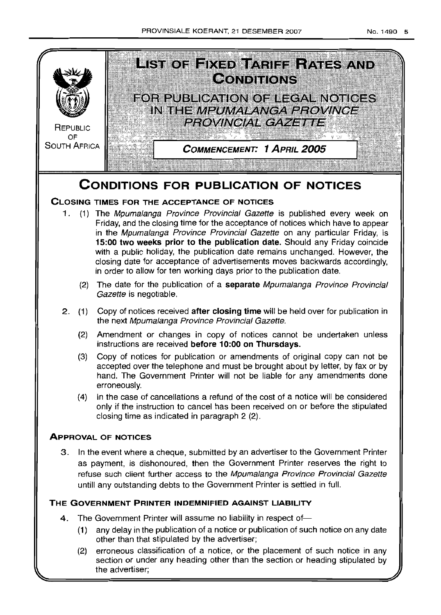

(2) erroneous classification of a notice, or the placement of such notice in any section or under any heading other than the section or heading stipulated by the advertiser;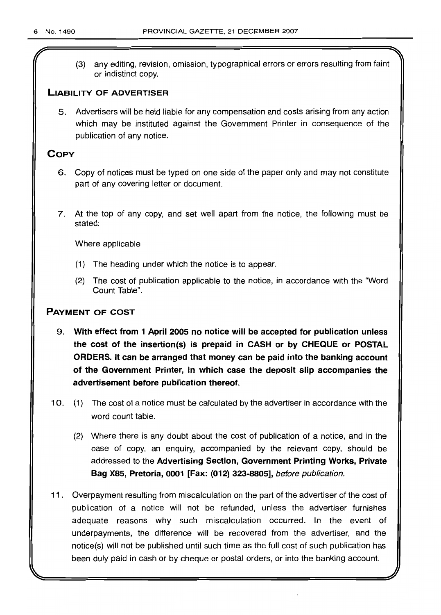*r*

(3) any editing, revision, omission, typographical errors or errors resulting from faint or indistinct copy.

#### LIABILITY OF ADVERTISER

5. Advertisers will be held liable for any compensation and costs arising from any action which may be instituted against the Government Printer in consequence of the publication of any notice.

#### **COPY**

- 6. Copy of notices must be typed on one side of the paper only and may not constitute part of any covering letter or document.
- 7. At the top of any copy, and set well apart from the notice, the following must be stated:

Where applicable

- (1) The heading under which the notice is to appear.
- (2) The cost of publication applicable to the notice, in accordance with the "Word Count Table".

### PAYMENT OF COST

- 9. With effect from 1 April 2005 no notice will be accepted for publication unless the cost of the insertion(s) is prepaid in CASH or by CHEQUE or POSTAL ORDERS. It can be arranged that money can be paid into the banking account of the Government Printer, in which case the deposit slip accompanies the advertisement before publication thereof.
- 10. (1) The cost of a notice must be calculated by the advertiser in accordance with the word count table.
	- (2) Where there is any doubt about the cost of publication of a notice, and in the case of copy, an enquiry, accompanied by the relevant copy, should be addressed to the Advertising Section, Government Printing Works, Private Bag X8S, Pretoria, 0001 [Fax: (012) 323-8805], before publication.
- 11. Overpayment resulting from miscalculation on the part of the advertiser of the cost of publication of a notice will not be refunded, unless the advertiser furnishes adequate reasons why such miscalculation occurred. In the event of underpayments, the difference will be recovered from the advertiser, and the notice(s) will not be published until such time as the full cost of such publication has been duly paid in cash or by cheque or postal orders, or into the banking account.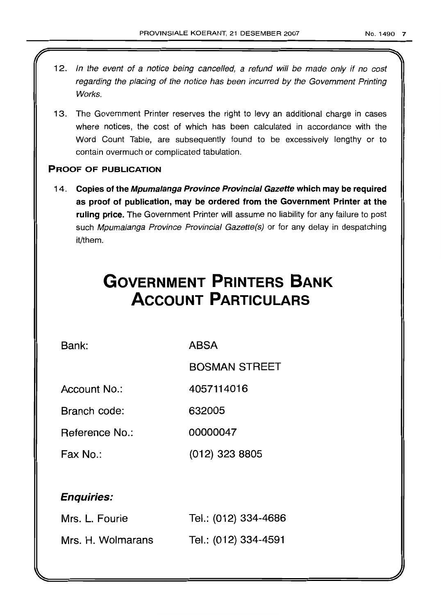- 12. In the event of a notice being cancelled, a refund will be made only if no cost regarding the placing of the notice has been incurred by the Government Printing Works.
- 13. The Government Printer reserves the right to levy an additional charge in cases where notices, the cost of which has been calculated in accordance with the Word Count Table, are subsequently found to be excessively lengthy or to contain overmuch or complicated tabulation.

### **PROOF OF PUBLICATION**

14. **Copies** of the **Mpumalanga Province Provincial Gazette which may be required as proof of publication, may be ordered from the Government Printer at the ruling price.** The Government Printer will assume no liability for any failure to post such Mpumalanga Province Provincial Gazette(s) or for any delay in despatching it/them.

# **GOVERNMENT PRINTERS BANK ACCOUNT PARTICULARS**

**Bank: ABSA**

**BOSMAN STREET**

**Account No.: 4057114016**

**Branch code: 632005**

**Reference No.: 00000047**

**Fax No.: (012) 323 8805**

### **Enquiries:**

| Mrs. L. Fourie    | Tel.: (012) 334-4686 |
|-------------------|----------------------|
| Mrs. H. Wolmarans | Tel.: (012) 334-4591 |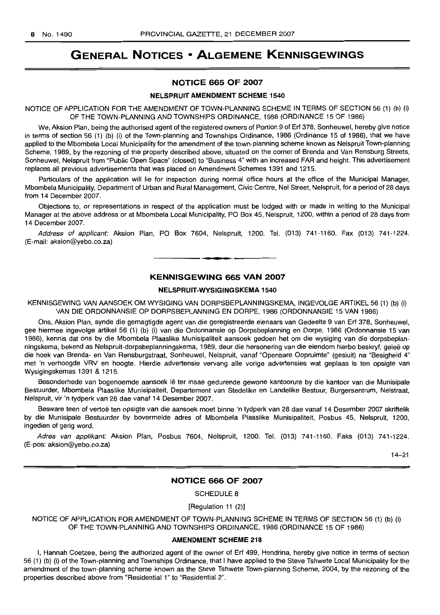### **GENERAL NOTICES • ALGEMENE KENNISGEWINGS**

#### **NOTICE 665 OF 2007**

#### **NELSPRUIT AMENDMENT SCHEME 1540**

NOTICE OF APPLICATION FOR THE AMENDMENT OF TOWN-PLANNING SCHEME IN TERMS OF SECTION 56 (1) (b) (i) OF THE TOWN-PLANNING AND TOWNSHIPS ORDINANCE, 1986 (ORDINANCE 15 OF 1986)

We, Aksion Plan, being the authorised agent of the registered owners of Portion 9 of Erf 378, Sonheuwel, hereby give notice in terms of section 56 (1) (b) (i) of the Town-planning and Townships Ordinance, 1986 (Ordinance 15 of 1986), that we have applied to the Mbombela Local Municipality for the amendment of the town-planning scheme known as Nelspruit Town-planning Scheme, 1989, by the rezoning of the property described above, situated on the corner of Brenda and Van Rensburg Streets, Sonheuwel, Nelspruit from "Public Open Space" (closed) to "Business 4" with an increased FAR and height. This advertisement replaces all previous advertisements that was placed on Amendment Schemes 1391 and 1215.

Particulars of the application will lie for inspection during normal office hours at the office of the Municipal Manager, Mbombela Municipality, Department of Urban and Rural Management, Civic Centre, Nel Street, Nelspruit, for a period of 28 days from 14 December 2007.

Objections to, or representations in respect of the application must be lodged with or made in writing to the Municipal Manager at the above address or at Mbombela Local Municipality, PO Box 45, Nelspruit, 1200, within a period of 28 days from 14 December 2007.

Address of applicant: Aksion Plan, PO Box 7604, Nelspruit, 1200. Tel. (013) 741-1160. Fax (013) 741-1224. (E-mail: aksion@yebo.co.za) .**- .**

#### **KENNISGEWING 665 VAN 2007**

#### **NELSPRlIIT-WYSIGINGSKEMA 1540**

KENNISGEWING VAN AANSOEK OM WYSIGING VAN DORPSBEPLANNINGSKEMA, INGEVOLGE ARTIKEL 56 (1) (b) (i) VAN DIE ORDONNANSIE OP DORPSBEPLANNING EN DORPE, 1986 (ORDONNANSIE 15 VAN 1986)

Ons, Aksion Plan, synde die gemagtigde agent van die geregistreerde eienaars van Gedeelte 9 van Erf 378, Sonheuwel, gee hiermee ingevolge artikel 56 (1) (b) (i) van die Ordonnansie op Dorpsbeplanning en Dorpe, 1986 (Ordonnansie 15 van 1986), kennis dat ons by die Mbombela Plaaslike Munisipaliteit aansoek gedoen het om die wysiging van die dorpsbeplanningskema, bekend as Nelspruit-dorpsbeplanningskema, 1989, deur die hersonering van die eiendom hierbo beskryf, geleë op die hoek van Brenda- en Van Rensburgstraat, Sonheuwel, Nelspruit, vanaf "Openbare Oopruimte" (gesluit) na "Besigheid 4" met 'n verhoogde VRV en hoogte. Hierdie advertensie vervang aile vorige advertensies wat geplaas is ten opsigte van Wysigingskemas 1391 & 1215.

Besonderhede van bogenoemde aansoek lê ter insae gedurende gewone kantoorure by die kantoor van die Munisipale Bestuurder, Mbombela Plaaslike Munisipaiteit, Departement van Stedelike en Landelike Bestuur, Burgersentrum, Nelstraat, Nelspruit, vir 'n tydperk van 28 dae vanaf 14 Desember 2007.

Besware teen of vertoe ten opsigte van die aansoek moet binne 'n tydperk van 28 dae vanaf 14 Desember 2007 skriftelik by die Munisipale Bestuurder by bovermelde adres of Mbombela Plaaslike Munisipaliteit, Posbus 45, Nelspruit, 1200, ingedien of gerig word.

Adres van applikant: Aksion Plan, Posbus 7604, Nelspruit, 1200. Tel. (013) 741-1160. Faks (013) 741-1224. (E-pos: aksion@yebo.co.za)

14-21

#### **NOTICE 666 OF 2007**

SCHEDULE 8

[Regulation 11 (2)]

NOTICE OF APPLICATION FOR AMENDMENT OF TOWN-PLANNING SCHEME IN TERMS OF SECTION 56 (1) (b) (i) OF THE TOWN-PLANNING AND TOWNSHIPS ORDINANCE, 1986 (ORDINANCE 15 OF 1986)

#### **AMENDMENT SCHEME 218**

I, Hannah Coetzee, being the authorized agent of the owner of Erf 499, Hendrina, hereby give notice in terms of section 56 (1) (b) (i) of the Town-planning and Townships Ordinance, that I have applied to the Steve Tshwete Local Municipality for the amendment of the town-planning scheme known as the Steve Tshwete Town-planning Scheme, 2004, by the rezoning of the properties described above from "Residential 1" to "Residential 2".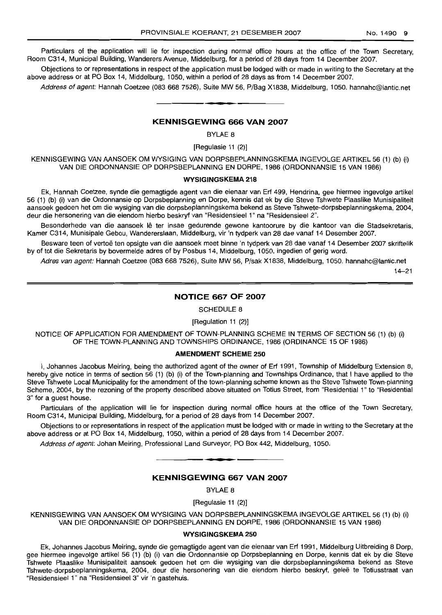Particulars of the application will lie for inspection during normal office hours at the office of the Town Secretary, Room C314, Municipal Building, Wanderers Avenue, Middelburg, for a period of 28 days from 14 December 2007.

Objections to or representations in respect of the application must be lodged with or made in writing to the Secretary at the above address or at PO Box 14, Middelburg, 1050, within a period of 28 days as from 14 December 2007.

Address of agent: Hannah Coetzee (083 668 7526), Suite MW 56, P/Bag X1838, Middelburg, 1050. hannahc@lantic.net **-.**

#### **KENNISGEWING 666 VAN 2007**

BYLAE 8

[Regulasie 11 (2)]

KENNISGEWING VAN AANSOEK OM WYSIGING VAN DORPSBEPLANNINGSKEMA INGEVOLGE ARTIKEL 56 (1) (b) (i) VAN DIE ORDONNANSIE OP DORPSBEPLANNING EN DORPE, 1986 (ORDONNANSIE 15 VAN 1986)

#### **WYSIGINGSKEMA 218**

Ek, Hannah Coetzee, synde die gemagtigde agent van die eienaar van Erf 499, Hendrina, gee hiermee ingevolge artikel 56 (1) (b) (i) van die Ordonnansie op Dorpsbeplanning en Dorpe, kennis dat ek by die Steve Tshwete Plaaslike Munisipaliteit aansoek gedoen het om die wysiging van die dorpsbeplanningskema bekend as Steve Tshwete-dorpsbeplanningskema, 2004, deur die hersonering van die eiendom hierbo beskryf van "Residensieel 1" na "Residensieel 2".

Besonderhede van die aansoek lê ter insae gedurende gewone kantoorure by die kantoor van die Stadsekretaris, Kamer C314, Munisipale Gebou, Wandererslaan, Middelburg, vir 'n tydperk van 28 dae vanaf 14 Desember 2007.

Besware teen of vertoë ten opsigte van die aansoek moet binne 'n tydperk van 28 dae vanaf 14 Desember 2007 skriftelik by of tot die Sekretaris by bovermelde adres of by Posbus 14, Middelburg, 1050, ingedien of gerig word.

Adres van agent: Hannah Coetzee (083 668 7526), Suite MW 56, P/sak X1838, Middelburg, 1050. hannahc@lantic.net

14-21

#### **NOTICE 667 OF 2007**

SCHEDULE 8

[Regulation 11 (2)]

NOTICE OF APPLICATION FOR AMENDMENT OF TOWN-PLANNING SCHEME IN TERMS OF SECTION 56 (1) (b) (i) OF THE TOWN-PLANNING AND TOWNSHIPS ORDINANCE, 1986 (ORDINANCE 15 OF 1986)

#### **AMENDMENT SCHEME 250**

I, Johannes Jacobus Meiring, being the authorized agent of the owner of Erf 1991, Township of Middelburg Extension 8, hereby give notice in terms of section 56 (1) (b) (i) of the Town-planning and Townships Ordinance, that I have applied to the Steve Tshwete Local Municipality for the amendment of the town-planning scheme known as the Steve Tshwete Town-planning Scheme, 2004, by the rezoning of the property described above situated on Totius Street, from "Residential 1" to "Residential 3" for a guest house.

Particulars of the application will lie for inspection during normal office hours at the office of the Town Secretary, Room C314, Municipal Building, Middelburg, for a period of 28 days from 14 December 2007.

Objections to or representations in respect of the application must be lodged with or made in writing to the Secretary at the above address or at PO Box 14, Middelburg, 1050, within a period of 28 days from 14 December 2007.

Address of agent: Johan Meiring, Professional Land Surveyor, PO Box 442, Middelburg, 1050.

#### **KENNISGEWING 667 VAN 2007**

**•**

BYLAE 8

[Regulasie 11 (2)]

KENNISGEWING VAN AANSOEK OM WYSIGING VAN DORPSBEPLANNINGSKEMA INGEVOLGE ARTIKEL 56 (1) (b) (i) VAN DIE ORDONNANSIE OP DORPSBEPLANNING EN DORPE, 1986 (ORDONNANSIE 15 VAN 1986)

#### **WYSIGINGSKEMA 250**

Ek, Johannes Jacobus Meiring, synde die gemagtigde agent van die eienaar van Erf 1991, Middelburg Uitbreiding 8 Dorp, gee hiermee ingevolge artikel 56 (1) (b) (i) van die Ordonnansie op Dorpsbeplanning en Dorpe, kennis dat ek by die Steve Tshwete Plaaslike Munisipaliteit aansoek gedoen het om die wysiging van die dorpsbeplanningskema bekend as Steve Tshwete-dorpsbeplanningskema, 2004, deur die hersonering van die eiendom hierbo beskryf, gelee te Totiusstraat van "Residensieel 1" na "Residensieel 3" vir 'n gastehuis.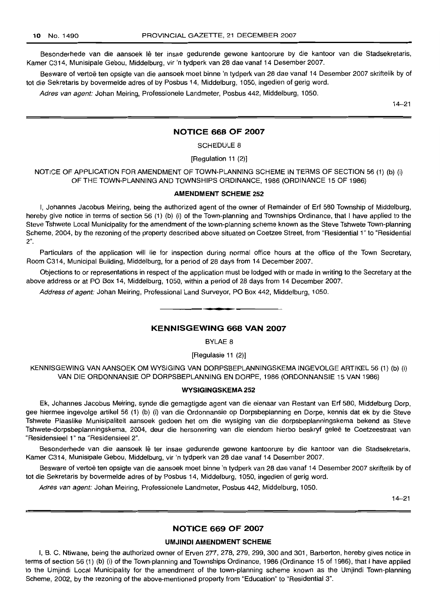Besonderhede van die aansoek lê ter insae gedurende gewone kantoorure by die kantoor van die Stadsekretaris, Kamer C314, Munisipale Gebou, Middelburg, vir 'n tydperk van 28 dae vanaf 14 Desember 2007.

Besware of vertoë ten opsigte van die aansoek moet binne 'n tydperk van 28 dae vanaf 14 Desember 2007 skriftelik by of tot die Sekretaris by bovermelde adres of by Posbus 14, Middelburg, 1050, ingedien of gerig word.

Adres van agent: Johan Meiring, Professionele Landmeter, Posbus 442, Middelburg, 1050.

14-21

#### **NOTICE 668 OF 2007**

SCHEDULE 8

[Regulation 11 (2)]

NOTICE OF APPLICATION FOR AMENDMENT OF TOWN-PLANNING SCHEME IN TERMS OF SECTION 56 (1) (b) (i) OF THE TOWN-PLANNING AND TOWNSHIPS ORDINANCE, 1986 (ORDINANCE 15 OF 1986)

#### **AMENDMENT SCHEME 252**

I, Johannes Jacobus Meiring, being the authorized agent of the owner of Remainder of Erf 580 Township of Middelburg, hereby give notice in terms of section 56 (1) (b) (i) of the Town-planning and Townships Ordinance, that I have applied to the Steve Tshwete Local Municipality for the amendment of the town-planning scheme known as the Steve Tshwete Town-planning Scheme, 2004, by the rezoning of the property described above situated on Coetzee Street, from "Residential 1" to "Residential 2".

Particulars of the application will lie for inspection during normal office hours at the office of the Town Secretary, Room C314, Municipal Building, Middelburg, for a period of 28 days from 14 December 2007.

Objections to or representations in respect of the application must be lodged with or made in writing to the Secretary at the above address or at PO Box 14, Middelburg, 1050, within a period of 28 days from 14 December 2007.

Address of agent: Johan Meiring, Professional Land Surveyor, PO Box 442, Middelburg, 1050.

#### **KENNISGEWING 668 VAN 2007**

**I •**

BYLAE 8

[Regulasie 11 (2)]

KENNISGEWING VAN AANSOEK OM WYSIGING VAN DORPSBEPLANNINGSKEMA INGEVOLGE ARTIKEL 56 (1) (b) (i) VAN DIE ORDONNANSIE OP DORPSBEPLANNING EN DORPE, 1986 (ORDONNANSIE 15 VAN 1986)

#### **WYSIGINGSKEMA 252**

Ek, Johannes Jacobus Meiring, synde die gemagtigde agent van die eienaar van Restant van Erf 580, Middelburg Dorp, gee hiermee ingevolge artikel 56 (1) (b) (i) van die Ordonnansie op Dorpsbeplanning en Dorpe, kennis dat ek by die Steve Tshwete Plaaslike Munisipaliteit aansoek gedoen het om die wysiging van die dorpsbeplanningskema bekend as Steve Tshwete-dorpsbeplanningskema, 2004, deur die hersonering van die eiendom hierbo beskryf gelee te Coetzeestraat van "Residensieel 1" na "Residensieel 2".

Besonderhede van die aansoek lê ter insae gedurende gewone kantoorure by die kantoor van die Stadsekretaris, Kamer C314, Munisipale Gebou, Middelburg, vir 'n tydperk van 28 dae vanaf 14 Desember 2007.

Besware of vertoë ten opsigte van die aansoek moet binne 'n tydperk van 28 dae vanaf 14 Desember 2007 skriftelik by of tot die Sekretaris by bovermelde adres of by Posbus 14, Middelburg, 1050, ingedien of gerig word.

Adres van agent: Johan Meiring, Professionele Landmeter, Posbus 442, Middelburg, 1050.

14-21

#### **NOTICE 669 OF 2007**

#### **UMJINDI AMENDMENT SCHEME**

I, B. C. Ntiwane, being the authorized owner of Erven 277, 278, 279, 299, 300 and 301, Barberton, hereby gives notice in terms of section 56 (1) (b) (i) of the Town-planning and Townships Ordinance, 1986 (Ordinance 15 of 1986), that I have applied to the Umjindi Local Municipality for the amendment of the town-planning scheme known as the Umjindi Town-planning Scheme, 2002, by the rezoning of the above-mentioned property from "Education" to "Residential 3".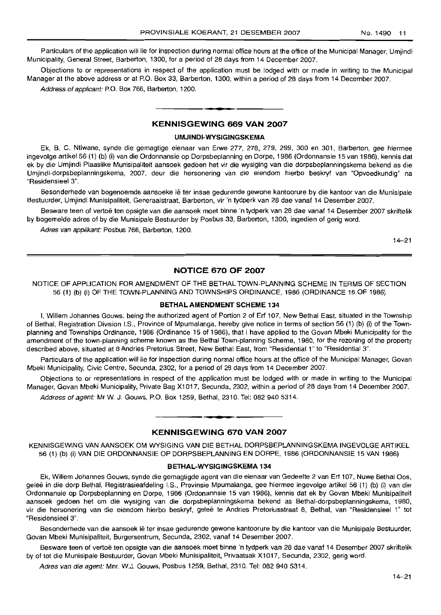Particulars of the application will lie for inspection during normal office hours at the office of the Municipal Manager, Umjindi Municipality, General Street, Barberton, 1300, for a period of 28 days from 14 December 2007.

Objections to or representations in respect of the application must be lodged with or made in writing to the Municipal Manager at the above address or at P.O. Box 33, Barberton, 1300, within a period of 28 days from 14 December 2007.

Address of applicant: P.O. Box 766, Barberton, 1200.

#### **KENNISGEWING 669 VAN 2007**

• **\_ E**

#### **UMJINDI-WYSIGINGSKEMA**

Ek, B. C. Ntiwane, synde die gemagtige eienaar van Erwe 277, 278, 279, 299, 300 en 301, Barberton, gee hiermee ingevolge artikel 56 (1) (b) (i) van die Ordonnansie op Dorpsbeplanning en Dorpe, 1986 (Ordonnansie 15 van 1986), kennis dat ek by die Umjindi Plaaslike Munisipaliteit aansoek gedoen het vir die wysiging van die dorpsbeplanningskema bekend as die Umjindi-dorpsbeplanningskema, 2007, deur die hersonering van die eiendom hierbo beskryf van "Opvoedkundig" na "ResidensieeI3".

Besonderhede van bogenoemde aansoeke lê ter insae gedurende gewone kantoorure by die kantoor van die Munisipale Bestuurder, Umjindi Munisipaliteit, Generaalstraat, Barberton, vir 'n tydperk van 28 dae vanaf 14 Desember 2007.

Besware teen of vertoë ten opsigte van die aansoek moet binne 'n tydperk van 28 dae vanaf 14 Desember 2007 skriftelik by bogemelde adres of by die Munisipale Bestuurder by Posbus 33, Barberton, 1300, ingedien of gerig word.

Adres van applikant: Posbus 766, Barberton, 1200.

14-21

#### **NOTICE 670 OF 2007**

NOTICE OF APPLICATION FOR AMENDMENT OF THE BETHAL TOWN-PLANNING SCHEME IN TERMS OF SECTION 56 (1) (b) (i) OF THE TOWN-PLANNING AND TOWNSHIPS ORDINANCE, 1986 (ORDINANCE 15 OF 1986)

#### **BETHALAMENDMENT SCHEME 134**

I, Willem Johannes Gouws, being the authorized agent of Portion 2 of Erf 107, New Bethal East, situated in the Township of Bethal, Registration Division I.S., Province of Mpumalanga, hereby give notice in terms of section 56 (1) (b) (i) of the Townplanning and Townships Ordinance, 1986 (Ordinance 15 of 1986), that I have applied to the Govan Mbeki Municipality for the amendment of the town-planning scheme known as the Bethal Town-planning Scheme, 1980, for the rezoning of the property described above, situated at 8 Andries Pretorius Street, New Bethal East, from "Residential 1" to "Residential 3".

Particulars of the application will lie for inspection during normal office hours at the office of the Municipal Manager, Govan Mbeki Municipality, Civic Centre, Secunda, 2302, for a period of 28 days from 14 December 2007.

Objections to or representations in respect of the application must be lodged with or made in writing to the Municipal Manager, Govan Mbeki Municipality, Private Bag X1017, Secunda, 2302, within a period of 28 days from 14 December 2007.

Address of agent: Mr W. J. Gouws, P.O. Box 1259, Bethal, 2310. Tel: 082 940 5314.

### **• KENNISGEWING 670 VAN 2007**

KENNISGEWING VAN AANSOEK OM WYSIGING VAN DIE BETHAL DORPSBEPLANNINGSKEMA INGEVOLGE ARTIKEL 56 (1) (b) (i) VAN DIE ORDONNANSIE OP DORPSBEPLANNING EN DORPE, 1986 (ORDONNANSIE 15 VAN 1986)

#### **BETHAL-WYSIGINGSKEMA 134**

Ek, Willem Johannes Gouws, synde die gemagtigde agent van die eienaar van Gedeelte 2 van Erf 107, Nuwe Bethal 005, qelee in die dorp Bethal, Registrasieafdeling I.S., Provinsie Mpumalanga, gee hiermee ingevolge artikel 56 (1) (b) (i) van die Ordonnansie op Dorpsbeplanning en Darpe, 1986 (Ordonannsie 15 van 1986), kennis dat ek by Govan Mbeki Munisipaliteit aansoek gedoen het om die wysiging van die dorpsbeplanningskema bekend as Bethal-dorpsbeplanningskema, 1980, vir die hersonering van die eiendom hierbo beskryf, geleë te Andries Pretoriusstraat 8, Bethal, van "Residensieel 1" tot "Residensieel 3".

Besonderhede van die aansoek Ie ter insae gedurende gewone kantoorure by die kantoor van die Munisipale Bestuurder, Govan Mbeki Munisipaliteit, Burgersentrum, Secunda, 2302, vanaf 14 Desember 2007.

Besware teen of vertoë ten opsigte van die aansoek moet binne 'n tydperk van 28 dae vanaf 14 Desember 2007 skriftelik by of tot die Munisipale Bestuurder, Govan Mbeki Munisipaliteit, Privaatsak X1017, Secunda, 2302, gerig word.

Adres van die agent: Mnr. W.J. Gouws, Posbus 1259, Bethal, 2310. Tel: 082 940 5314.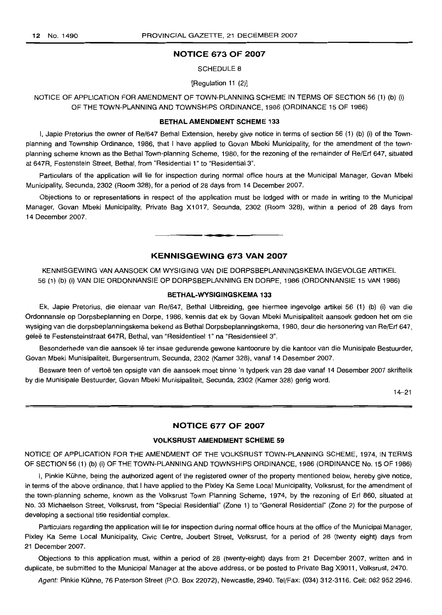#### **NOTICE 673 OF 2007**

SCHEDULE 8

[Regulation 11 (2)]

NOTICE OF APPLICATION FOR AMENDMENT OF TOWN-PLANNING SCHEME IN TERMS OF SECTION 56 (1) (b) (i) OF THE TOWN-PLANNING AND TOWNSHIPS ORDINANCE, 1986 (ORDINANCE 15 OF 1986)

#### **BETHALAMENDMENT SCHEME** 133

I, Japie Pretorius the owner of Re/647 Bethal Extension, hereby give notice in terms of section 56 (1) (b) (i) of the Townplanning and Township Ordinance, 1986, that I have applied to Govan Mbeki Municipality, for the amendment of the townplanning scheme known as the Bethal Town-planning Scheme, 1980, for the rezoning of the remainder of Re/Erf 647, situated at 647R, Festenstein Street, Bethal, from "Residential 1" to "Residential 3".

Particulars of the application will lie for inspection during normal office hours at the Municipal Manager, Govan Mbeki Municipality, Secunda, 2302 (Room 328), for a period of 28 days from 14 December 2007.

Objections to or representations in respect of the application must be lodged with or made in writing to the Municipal Manager, Govan Mbeki Municipality, Private Bag X1017, Secunda, 2302 (Room 328), within a period of 28 days from 14 December 2007.

• **\_ a**

#### **KENNISGEWING 673 VAN 2007**

KENNISGEWING VAN AANSOEK OM WYSIGING VAN DIE DORPSBEPLANNINGSKEMA INGEVOLGE ARTIKEL 56 (1) (b) (i) VAN DIE ORDONNANSIE OP DORPSBEPLANNING EN DORPE, 1986 (ORDONNANSIE 15 VAN 1986)

#### **BETHAL-WYSIGINGSKEMA** 133

Ek, Japie Pretorius, die eienaar van Re/647, Bethal Uitbreiding, gee hiermee ingevolge artiket 56 (1) (b) (i) van die Ordonnansie op Dorpsbeplanning en Dorpe, 1986, kennis dat ek by Govan Mbeki Munisipaliteit aansoek gedoen het om die wysiging van die dorpsbeplanningskema bekend as Bethal Dorpsbeplanningskema, 1980, deur die hersonering van Re/Erf 647, gelee te Festensteinstraat 647R, Bethal, van "ResidentieeI1" na "Residensieel 3".

Besonderhede van die aansoek lê ter insae gedurende gewone kantoorure by die kantoor van die Munisipale Bestuurder, Govan Mbeki Munisipaliteit, Burgersentrum, Secunda, 2302 (Kamer 328), vanaf 14 Desember 2007.

Besware teen of vertoe ten opsigte van die aansoek moet binne 'n tydperk van 28 dae vanaf 14 Desember 2007 skriftelik by die Munisipale Bestuurder, Govan Mbeki Munisipaliteit, Secunda, 2302 (Kamer 328) gerig word.

14-21

#### **NOTICE 677 OF 2007**

#### **VOLKSRUST AMENDMENT SCHEME 59**

NOTICE OF APPLICATION FOR THE AMENDMENT OF THE VOLKSRUST TOWN-PLANNING SCHEME, 1974, IN TERMS OF SECTION 56 (1) (b) (i) OF THE TOWN-PLANNING AND TOWNSHIPS ORDINANCE, 1986 (ORDINANCE No. 15 OF 1986)

I, Pinkie Kühne, being the authorized agent of the registered owner of the property mentioned below, hereby give notice, in terms of the above ordinance, that I have applied to the Pixley Ka Seme Local Municipality, Volksrust, for the amendment of the town-planning scheme, known as the Volksrust Town Planning Scheme, 1974, by the rezoning of Erf 860, situated at No. 33 Michaelson Street, Volksrust, from "Special Residential" (Zone 1) to "General Residential" (Zone 2) for the purpose of developing a sectional title residential complex.

Particulars regarding the application will lie for inspection during normal office hours at the office of the Municipal Manager, Pixley Ka Seme Local Municipality, Civic Centre, Joubert Street, Volksrust, for a period of 28 (twenty eight) days from 21 December 2007.

Objections to this application must, within a period of 28 (twenty-eight) days from 21 December 2007, written and in duplicate, be submitted to the Municipal Manager at the above address, or be posted to Private Bag X9011, Volksrust, 2470.

Agent: Pinkie Kuhne, 76 Paterson Street (P.O. Box 22072), Newcastle, 2940. Tel/Fax: (034) 312-3116. Cell: 0829522946.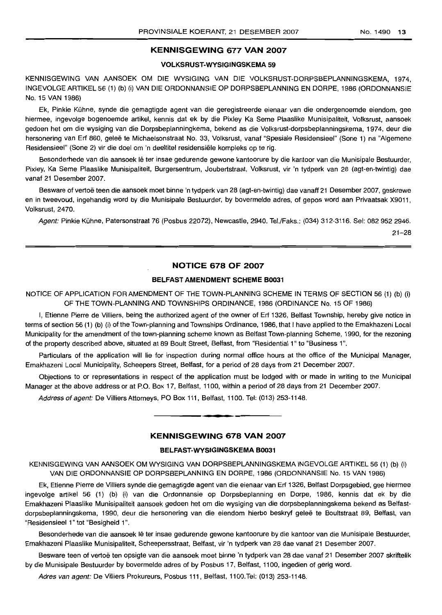#### **KENNISGEWING 677 VAN 2007**

#### **VOLKSRUST·WYSIGINGSKEMA 59**

KENNISGEWING VAN AANSOEK OM DIE WYSIGING VAN DIE VOLKSRUST-DORPSBEPLANNINGSKEMA, 1974, INGEVOLGE ARTIKEL 56 (1) (b) (i) VAN DIE ORDONNANSIE OP DORPSBEPLANNING EN DORPE, 1986 (ORDONNANSIE No. 15 VAN 1986)

Ek, Pinkie Kuhne, synde die gemagtigde agent van die geregistreerde eienaar van die ondergenoemde eiendom, gee hiermee, ingevolge bogenoemde artikel, kennis dat ek by die Pixley Ka Seme Plaaslike Munisipaliteit, Volksrust, aansoek gedoen het om die wysiging van die Dorpsbeplanningkema, bekend as die Volksrust-dorpsbeplanningskema, 1974, deur die hersonering van Erf 860, geleë te Michaelsonstraat No. 33, Volksrust, vanaf "Spesiale Residensieel" (Sone 1) na "Algemene Residensieel" (Sone 2) vir die doel om 'n deeltitel residensiële kompleks op te rig.

Besonderhede van die aansoek lê ter insae gedurende gewone kantoorure by die kantoor van die Munisipale Bestuurder, Pixley, Ka Seme Plaaslike Munisipaliteit, Burgersentrum, Joubertstraat, Volksrust, vir 'n tydperk van 28 (agt-en-twintig) dae vanaf 21 Desember 2007.

Besware of vertoë teen die aansoek moet binne 'n tydperk van 28 (agt-en-twintig) dae vanaff 21 Desember 2007, geskrewe en in tweevoud, ingehandig word by die Munisipale Bestuurder, by bovermelde adres, of gepos word aan Privaatsak X9011, Volksrust, 2470.

Agent: Pinkie Kuhne, Patersonstraat 76 (Posbus 22072), Newcastle, 2940. Tel./Faks.: (034) 312-3116. Sel: 082952 2946.

21-28

#### **NOTICE 678 OF 2007**

#### **BELFAST AMENDMENT SCHEME B0031**

NOTICE OF APPLICATION FOR AMENDMENT OF THE TOWN-PLANNING SCHEME IN TERMS OF SECTION 56 (1) (b) (i) OF THE TOWN-PLANNING AND TOWNSHIPS ORDINANCE, 1986 (ORDINANCE No. 15 OF 1986)

I, Etienne Pierre de Villiers, being the authorized agent of the owner of Erf 1326, Belfast Township, hereby give notice in terms of section 56 (1) (b) (i) of the Town-planning and Townships Ordinance, 1986, that I have applied to the Emakhazeni Local Municipality for the amendment of the town-planning scheme known as Belfast Town-planning Scheme, 1990, for the rezoning of the property described above, situated at 89 Boult Street, Belfast, from "Residential 1" to "Business 1".

Particulars of the application will lie for inspection during normal office hours at the office of the Municipal Manager, Emakhazeni Local Municipality, Scheepers Street, Belfast, for a period of 28 days from 21 December 2007.

Objections to or representations in respect of the application must be lodged with or made in writing to the Municipal Manager at the above address or at P.O. Box 17, Belfast, 1100, within a period of 28 days from 21 December 2007.

Address of agent: De Villiers Attorneys, PO Box 111, Belfast, 1100. Tel: (013) 253-1148.

#### **KENNISGEWING 678 VAN 2007**

**•**

#### **BELFAST·WYSIGINGSKEMA B0031**

KENNISGEWING VAN AANSOEK OM WYSIGING VAN DORPSBEPLANNINGSKEMA INGEVOLGE ARTIKEL 56 (1) (b) (i) VAN DIE ORDONNANSIE OP DORPSBEPLANNING EN DORPE, 1986 (ORDONNANSIE No. 15 VAN 1986)

Ek, Etienne Pierre de Villiers synde die gemagtigde agent van die eienaar van Erf 1326, Belfast Dorpsgebied, gee hiermee ingevolge artikel 56 (1) (b) (i) van die Ordonnansie op Dorpsbeplanning en Dorpe, 1986, kennis dat ek by die Emakhazeni Plaaslike Munisipaliteit aansoek gedoen het om die wysiging van die dorpsbeplanningskema bekend as Belfastdorpsbeplanningskema, 1990, deur die hersonering van die eiendom hierbo beskryf geleë te Boultstraat 89, Belfast, van "ResidensieeI1" tot "Besigheid 1".

Besonderhede van die aansoek lê ter insae gedurende gewone kantoorure by die kantoor van die Munisipale Bestuurder, Emakhazeni Plaaslike Munisipaliteit, Scheepersstraat, Belfast, vir 'n tydperk van 28 dae vanaf 21 Desember 2007.

Besware teen of vertoë ten opsigte van die aansoek moet binne 'n tydperk van 28 dae vanaf 21 Desember 2007 skriftelik by die Munisipale Bestuurder by bovermelde adres of by Posbus 17, Belfast, 1100, ingedien of gerig word.

Adres van agent: De Villiers Prokureurs, Posbus 111, Belfast, 1100.Tel: (013) 253-1148.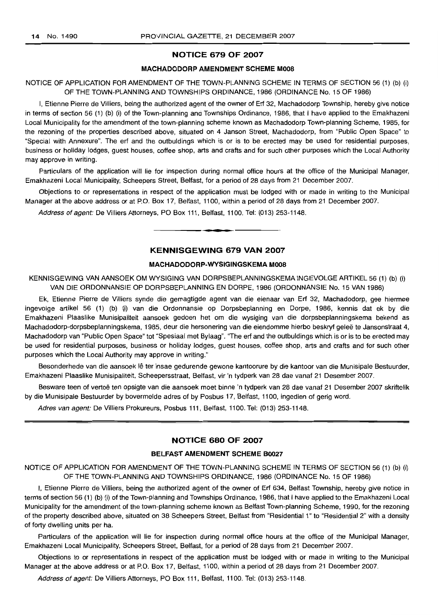#### **NOTICE 679 OF 2007**

#### **MACHADODORP AMENDMENT SCHEME MOOB**

#### NOTICE OF APPLICATION FOR AMENDMENT OF THE TOWN-PLANNING SCHEME IN TERMS OF SECTION 56 (1) (b) (i) OF THE TOWN-PLANNING AND TOWNSHIPS ORDINANCE, 1986 (ORDINANCE No. 15 OF 1986)

I, Etienne Pierre de Villiers, being the authorized agent of the owner of Erf 32, Machadodorp Township, hereby give notice in terms of section 56 (1) (b) (i) of the Town-planning and Townships Ordinance, 1986, that I have applied to the Emakhazeni Local Municipality for the amendment of the town-planning scheme known as Machadodorp Town-planning Scheme, 1985, for the rezoning of the properties described above, situated on 4 Janson Street, Machadodorp, from "Public Open Space" to "Special with Annexure". The erf and the outbuldings which is or is to be erected may be used for residential purposes, business or holiday lodges, guest houses, coffee shop, arts and crafts and for such other purposes which the Local Authority may approve in writing.

Particulars of the application will lie for inspection during normal office hours at the office of the Municipal Manager, Emakhazeni Local Municipality, Scheepers Street, Belfast, for a period of 28 days from 21 December 2007.

Objections to or representations in respect of the application must be lodged with or made in writing to the Municipal Manager at the above address or at P.O. Box 17, Belfast, 1100, within a period of 28 days from 21 December 2007.

Address of agent: De Villiers Attorneys, PO Box 111, Belfast, 1100. Tel: (013) 253-1148.

#### **KENNISGEWING 679 VAN 2007**

**• •**

#### **MACHADODORP·WYSIGINGSKEMA MOOS**

KENNISGEWING VAN AANSOEK OM WYSIGING VAN DORPSBEPLANNINGSKEMA INGEVOLGE ARTIKEL 56 (1) (b) (i) VAN DIE ORDONNANSIE OP DORPSBEPLANNING EN DORPE, 1986 (ORDONNANSIE No. 15 VAN 1986)

Ek, Etienne Pierre de Villiers synde die gemagtigde agent van die eienaar van Erf 32, Machadodorp, gee hiermee ingevolge artikel 56 (1) (b) (i) van die Ordonnansie op Dorpsbeplanning en Dorpe, 1986, kennis dat ek by die Emakhazeni Plaaslike Munisipaliteit aansoek gedoen het om die wysiging van die dorpsbeplanningskema bekend as Machadodorp-dorpsbeplanningskema, 1985, deur die hersonering van die eiendomme hierbo beskryf gelee te Jansonstraat 4, Machadodorp van "Public Open Space" tot "Spesiaal met Bylaag". "The erf and the outbuldings which is or is to be erected may be used for residential purposes, business or holiday lodges, guest houses, coffee shop, arts and crafts and for such other purposes which the Local Authority may approve in writing."

Besonderhede van die aansoek lê ter insae gedurende gewone kantoorure by die kantoor van die Munisipale Bestuurder, Emakhazeni Plaaslike Munisipaliteit, Scheepersstraat, Belfast, vir 'n tydperk van 28 dae vanaf 21 Desember 2007.

Besware teen of vertoë ten opsigte van die aansoek moet binne 'n tydperk van 28 dae vanaf 21 Desember 2007 skriftelik by die Munisipale Bestuurder by bovermelde adres of by Posbus 17, Belfast, 1100, ingedien of gerig word.

Adres van agent: De Villiers Prokureurs, Posbus 111, Belfast, 1100. Tel: (013) 253-1148.

#### **NOTICE 680 OF 2007**

#### **BELFAST AMENDMENT SCHEME B0027**

NOTICE OF APPLICATION FOR AMENDMENT OF THE TOWN-PLANNING SCHEME IN TERMS OF SECTION 56 (1) (b) (i) OF THE TOWN-PLANNING AND TOWNSHIPS ORDINANCE, 1986 (ORDINANCE No. 15 OF 1986)

I, Etienne Pierre de Villiers, being the authorized agent of the owner of Erf 634, Belfast Township, hereby give notice in terms of section 56 (1) (b) (i) of the Town-planning and Townships Ordinance, 1986, that I have applied to the Emakhazeni Local Municipality for the amendment of the town-planning scheme known as Belfast Town-planning Scheme, 1990, for the rezoning of the property described above, situated on 38 Scheepers Street, Belfast from "Residential 1" to "Residential 2" with a density of forty dwelling units per ha.

Particulars of the application will lie for inspection during normal office hours at the office of the Municipal Manager, Emakhazeni Local Municipality, Scheepers Street, Belfast, for a period of 28 days from 21 December 2007.

Objections to or representations in respect of the application must be lodged with or made in writing to the Municipal Manager at the above address or at P.O. Box 17, Belfast, 1100, within a period of 28 days from 21 December 2007.

Address of agent: De Villiers Attorneys, PO Box 111, Belfast, 1100. Tel: (013) 253-1148.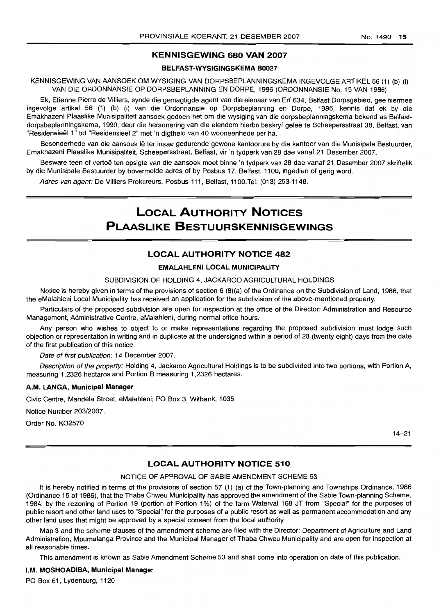#### **KENNISGEWING 680 VAN 2007**

#### **BELFAST·WYSIGINGSKEMA B0027**

KENNISGEWING VAN AANSOEK OM WYSIGING VAN DORPSBEPLANNINGSKEMA INGEVOLGE ARTIKEL 56 (1) (b) (i) VAN DIE ORDONNANSIE OP DORPSBEPLANNING EN DORPE, 1986 (ORDONNANSIE No. 15 VAN 1986)

Ek, Etienne Pierre de Villiers, synde die gemagtigde agent van die eienaar van Erf 634, Belfast Dorpsgebied, gee hiermee ingevolge artikel 56 (1) (b) (i) van die Ordonnansie op Dorpsbeplanning en Dorpe, 1986, kennis dat ek by die Emakhazeni Plaaslike Munisipaliteit aansoek gedoen het om die wysiging van die dorpsbeplanningskema bekend as Belfastdorpsbeplanningskema, 1990, deur die hersonering van die eiendom hierbo beskryf gelee te Scheepersstraat 38, Belfast, van "Besldensieel 1" tot "Residensieel 2" met 'n digtheid van 40 wooneenhede per ha.

Besonderhede van die aansoek lê ter insae gedurende gewone kantoorure by die kantoor van die Munisipale Bestuurder, Emakhazeni Plaaslike Munisipaliteit, Scheepersstraat, Belfast, vir 'n tydperk van 28 dae vanaf 21 Desember 2007.

Besware teen of vertoë ten opsigte van die aansoek moet binne 'n tydperk van 28 dae vanaf 21 Desember 2007 skriftelik by die Munisipale Bestuurder by bovermelde adres of by Posbus 17, Belfast, 1100, ingedien of gerig word.

Adres van agent: De Villiers Prokureurs, Posbus 111, Belfast, 1100.Tel: (013) 253-1148.

## **LOCAL AUTHORITY NOTICES PLAASLIKE BESTUURSKENNISGEWINGS**

#### **LOCAL AUTHORITY NOTICE 482**

#### **EMALAHLENI LOCAL MUNICIPALITY**

#### SUBDIVISION OF HOLDING 4, JACKAROO AGRICULTURAL HOLDINGS

Notice is hereby given in terms of the provisions of section 6 (8)(a) of the Ordinance on the Subdivision of Land, 1986, that the eMalahleni Local Municipality has received an application for the subdivision of the above-mentioned property.

Particulars of the proposed subdivision are open for inspection at the office of the Director: Administration and Resource Management, Administrative Centre, eMalahleni, during normal office hours.

Any person who wishes to object to or make representations regarding the proposed subdivision must lodge such objection or representation in writing and in duplicate at the undersigned within a period of 28 (twenty eight) days from the date of the first publication of this notice.

Date of first publication: 14 December 2007.

Description of the property: Holding 4, Jackaroo Agricultural Holdings is to be subdivided into two portions, with Portion A. measuring 1,2326 hectares and Portion B measuring 1,2326 hectares.

#### **A.M. LANGA, Municipal Manager**

Civic Centre, Mandela Street, eMalahleni; PO Box 3, Witbank, 1035

Notice Number 203/2007.

Order No. K02570

 $14 - 21$ 

#### **LOCAL AUTHORITY NOTICE 510**

#### NOTICE OF APPROVAL OF SABlE AMENDMENT SCHEME 53

It is hereby notified in terms of the provisions of section 57 (1) (a) of the Town-planning and Townships Ordinance, 1986 (Ordinance 15 of 1986), that the Thaba Chweu Municipality has approved the amendment of the Sabie Town-planning Scheme, 1984, by the rezoning of Portion 19 (portion of Portion 1%) of the farm Waterval 168 JT from "Special" for the purposes of public resort and other land uses to "Special" for the purposes of a public resort as well as permanent accommodation and any other land uses that might be approved by a special consent from the local authority.

Map 3 and the scheme clauses of the amendment scheme are filed with the Director: Department of Agriculture and Land Administration, Mpumalanga Province and the Municipal Manager of Thaba Chweu Municipality and are open for inspection at all reasonable times.

This amendment is known as Sabie Amendment Scheme 53 and shall come into operation on date of this publication.

#### I.M. **MOSHOADIBA, Municipal Manager**

PO Box 61, Lydenburg, 1120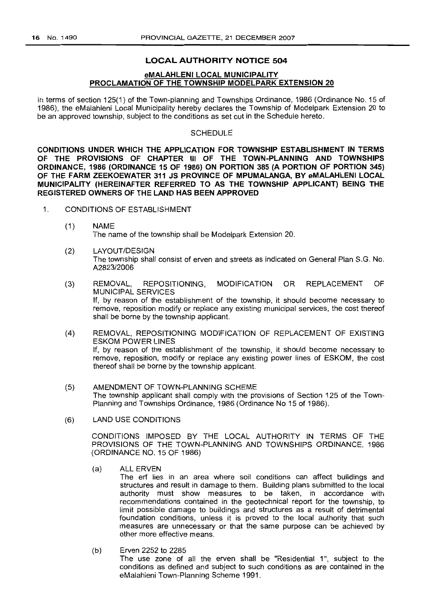#### **eMALAHLENI LOCAL MUNICIPALITY PROCLAMATION OF THE TOWNSHIP MODELPARK EXTENSION 20**

In terms of section 125(1) of the Town-planning and Townships Ordinance, 1986 (Ordinance No. 15 of 1986), the eMalahleni Local Municipality hereby declares the Township of Modelpark Extension 20 to be an approved township, subject to the conditions as set out in the Schedule hereto.

#### **SCHEDULE**

**CONDITIONS UNDER WHICH THE APPLICATION FOR TOWNSHIP ESTABLISHMENT IN TERMS OF THE PROVISIONS OF CHAPTER III OF THE TOWN-PLANNING AND TOWNSHIPS ORDINANCE, 1986 (ORDINANCE 15 OF 1986) ON PORTION 385 (A PORTION OF PORTION 345) OF THE FARM ZEEKOEWATER 311 JS PROVINCE OF MPUMALANGA, BY eMALAHLENI LOCAL MUNICIPALITY (HEREINAFTER REFERRED TO AS THE TOWNSHIP APPLICANT) BEING THE REGISTERED OWNERS OF THE LAND HAS BEEN APPROVED**

- 1. CONDITIONS OF ESTABLISHMENT
	- (1) NAME The name of the township shall be Modelpark Extension 20.
	- (2) LAYOUT/DESIGN The township shall consist of erven and streets as indicated on General Plan S.G. No. A2823/2006
	- (3) REMOVAL, REPOSITIONING, MODIFICATION OR REPLACEMENT OF MUNICIPAL SERVICES If, by reason of the establishment of the township, it should become necessary to remove, reposition modify or replace any existing municipal services, the cost thereof shall be borne by the township applicant.
	- (4) REMOVAL, REPOSITIONING MODIFICATION OF REPLACEMENT OF EXISTING ESKOM POWER LINES If, by reason of the establishment of the township, it should become necessary to remove, reposition, modify or replace any existing power lines of ESKOM, the cost thereof shall be borne by the township applicant.
	- (5) AMENDMENT OF TOWN-PLANNING SCHEME The township applicant shall comply with the provisions of Section 125 of the Town-Planning and Townships Ordinance, 1986 (Ordinance No 15 of 1986).
	- (6) LAND USE CONDITIONS

CONDITIONS IMPOSED BY THE LOCAL AUTHORITY IN TERMS OF THE PROVISIONS OF THE TOWN-PLANNING AND TOWNSHIPS ORDINANCE, 1986 (ORDINANCE NO. 15 OF 1986)

(a) ALL ERVEN

The erf lies in an area where soil conditions can affect buildings and structures and result in damage to them. Building plans submitted to the local authority must show measures to be taken, in accordance with recommendations contained in the geotechnical report for the township, to limit possible damage to buildings and structures as a result of detrimental foundation conditions, unless it is proved to the local authority that such measures are unnecessary or that the same purpose can be achieved by other more effective means.

(b) Erven 2252 to 2285

The use zone of all the erven shall be "Residential 1", subject to the conditions as defined and subject to such conditions as are contained in the eMalahleni Town-Planning Scheme 1991.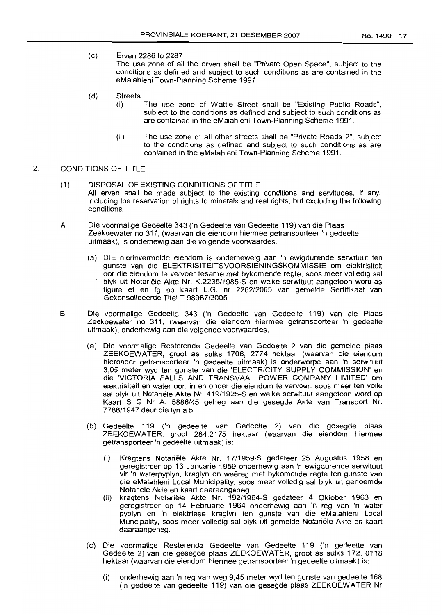- (c) Erven 2286 to 2287 The use zone of all the erven shall be "Private Open Space", subject to the conditions as defined and subject to such conditions as are contained in the eMalahleni Town-Planning Scheme 1991
- (d) Streets
	- (i) The use zone of Wattle Street shall be "Existing Public Roads", subject to the conditions as defined and subject to such conditions as are contained in the eMalahleni Town-Planning Scheme 1991.
	- (ii) The use zone of all other streets shall be "Private Roads 2", subject to the conditions as defined and subject to such conditions as are contained in the eMalahleni Town-Planning Scheme 1991.

#### 2. CONDITIONS OF TITLE

- (1) DISPOSAL OF EXISTING CONDITIONS OF TITLE All erven shall be made subject to the existing conditions and servitudes, if any, including the reservation of rights to minerals and real rights, but excluding the following conditions,
- A Die voormalige Gedeelte 343 ('n Gedeelte van Gedeelte 119) van die Plaas Zeekoewater no 311, (waarvan die eiendom hiermee getransporteer 'n gedeelte uitmaak), is onderhewig aan die volgende voorwaardes.
	- (a) DIE hierinvermelde eiendom is onderheweig aan 'n ewigdurende serwituut ten gunste van die ELEKTRISITEITSVOORSIENINGSKOMMISSIE om elektrisiteit oar die eiendom te vervoer tesame met bykomende regte, soos meer volledig sal blyk uit Notariële Akte Nr. K.2235/1985-S en welke serwituut aangetoon word as figure ef en fg op kaart L.G. nr 2262/2005 van gemelde Sertifikaat van Gekonsolideerde Titel T 98987/2005
- B Die voormalige Gedeelte 343 ('n Gedeelte van Gedeelte 119) van die Piaas Zeekoewater no 311, (waarvan die eiendom hiermee getransporteer 'n gedeelte uitmaak), onderhewig aan die volgende voorwaardes.
	- (a) Die voormalige Resterende Gedeelte van Gedeelte 2 van die gemelde plaas ZEEKOEWATER, groot as sulks 1706, 2774 hektaar (waarvan die eiendom hieronder getransporteer 'n gedeelte uitmaak) is onderworpe aan 'n serwituut 3,05 meter wyd ten gunste van die 'ELECTRICITY SUPPLY COMMISSION' en die 'VICTORIA FALLS AND TRANSVAAL POWER COMPANY LIMITED' om elektrisiteit en water oor, in en onder die eiendom te vervoer, soos meer ten volle sal blyk uit Notariele Akte Nr. 419/1925-S en welke serwituut aangetoon word op Kaart S G Nr A. 5886/45 geheg aan die gesegde Akte van Transport Nr. 7788/1947 deur die Iyn a b
	- (b) Gedeelte 119 ('n gedeelte van Gedeelte 2) van die gesegde plaas ZEEKOEWATER, groat 284,2175 hektaar (waarvan die eiendom hiermee getransporteer 'n gedeelte uitmaak) is:
		- (i) Kragtens Notariële Akte Nr. 17/1959-S gedateer 25 Augustus 1958 en geregistreer op 13 Januarie 1959 onderhewig aan 'n eWigdurende serwituut vir 'n waterpyplyn, kraglyn en weereq met bykomende regte ten gunste van die eMalahleni Local Municipality, soos meer volledig sal blyk uit genoemde Notariele Akte en kaart daaraangeheg.
		- (ii) kragtens Notarleie Akte Nr. 192/1964-S gedateer 4 Oktober 1963 en geregistreer op 14 Februarie 1964 onderhewig aan 'n reg van 'n water pyplyn en 'n elektriese kraglyn ten gunste van die eMalahleni Local Muncipality, soos meer volledig sal blyk uit gemelde Notariele Akte en kaart daaraangeheg.
	- (c) Die voormalige Resterende Gedeelte van Gedeelte 119 ('n gedeelte van Gedeelte 2) van die gesegde plaas ZEEKOEWATER, groot as sulks 172, 0118 hektaar (waarvan die eiendom hiermee getransporteer 'n gedeelte uitmaak) is:
		- (i) onderhewig aan 'n reg van weg 9,45 meter wyd ten gunste van gedeelte 168 Cn gedeelte van gedeelte 119) van die gesegde plaas ZEEKOEWATER Nr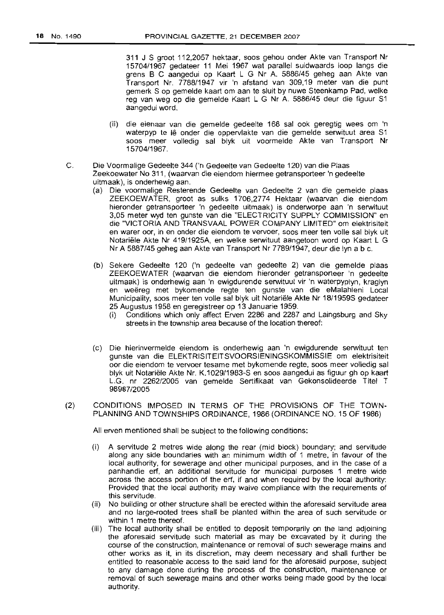311 J S groot 112,2057 hektaar, soos gehou onder Akte *van* Transport Nr 15704/1967 gedateer 11 Mei 1967 wat parallel suidwaards loop langs die grens B C aangedui op Kaart L G Nr A. 5886/45 geheg aan Akte *van* Transport Nr. 7788/1947 *vir* 'n afstand *van* 309,19 meter *van* die punt gemerk S op gemelde kaart om aan te sluit by nuwe Steenkamp Pad, welke reg *van* weg op die gemelde Kaart L G Nr A. 5886/45 deur die figuur S1 aangedui word.

- (ii) die eienaar *van* die gemelde gedeelte 168 sal ook geregtig wees om 'n waterpyp te Ie onder die oppervlakte *van* die gemelde serwituut area S1 soos meer volledig sal blyk uit voormelde Akte *van* Transport Nr 15704/1967.
- C. Die Voormalige Gedeelte 344 ('n Gedeelte *van* Gedeelte 120) van die Plaas Zeekoewater No 311, (waarvan die eiendom hiermee getransporteer 'n gedeelte uitmaak), is onderhewig aan.
	- (a) Die voormalige Resterende Gedeelte van Gedeelte 2 *van* die gemelde plaas ZEEKOEWATER, groot as sulks 1706,2774 Hektaar (waarvan die eiendom hieronder getransporteer 'n gedeelte uitmaak) is onderworpe aan 'n serwituut 3,05 meter wyd ten gunste van die "ELECTRICITY SUPPLY COMMISSION" en die "VICTORIA AND TRANSVAAL POWER COMPANY LIMITED" om elektrisiteit en warer oor, in en onder die eiendom te vervoer, soos meer ten volle sal blyk uit Notariele Akte Nr 419/1925A, en welke serwituut aangetoon word op Kaart L G Nr A 5887/45 geheg aan Akte *van* Transport Nr 7789/1947, deur die Iyn abc.
	- (b) Sekere Gedeelte 120 ('n gedeelte van gedeelte 2) van die gemelde plaas ZEEKOEWATER (waarvan die eiendom hieronder getransporteer 'n gedeelte uitmaak) is onderhewig aan 'n ewigdurende serwituut vir 'n waterpyplyn, kraglyn en weëreg met bykomende regte ten gunste van die eMalahleni Local Municipality, soos meer ten volle sal blyk uit Notariele Akte Nr 18/1959S gedateer 25 Augustus 1958 en geregistreer op 13 Januarie 1959.
		- (i) Conditions which only affect Erven 2286 and 2287 and Laingsburg and Sky streets in the township area because of the location thereof:
	- (c) Die hierinvermelde eiendom is onderhewig aan 'n ewigdurende serwituut ten gunste van die ELEKTRISITEITSVOORSIENINGSKOMMISSIE om elektrisiteit oor die eiendom te vervoer tesame met bykomende regte, soos meer volledig sal blyk uit Notariele Akte Nr. K.1029/1983-S en soos aangedui as figuur gh op kaart L.G. nr 2262/2005 van gemelde Sertifikaat *van* Gekonsolideerde Titel T 98987/2005
- (2) CONDITIONS IMPOSED IN TERMS OF THE PROVISIONS OF THE TOWN-PLANNING AND TOWNSHIPS ORDINANCE, 1986 (ORDINANCE NO. 15 OF 1986)

All erven mentioned shall be subject to the following conditions:

- (i) A servitude 2 metres wide along the rear (mid block) boundary; and servitude along any side boundaries with an minimum width of 1 metre, in favour of the local authority, for sewerage and other municipal purposes, and in the case of a panhandle erf, an additional servitude for municipal purposes 1 metre wide across the access portion of the erf, if and when required by the local authority: Provided that the local authority may waive compliance with the requirements of this servitude.
- (ii) No building or other structure shall be erected within the aforesaid servitude area and no large-rooted trees shall be planted within the area of such servitude or within 1 metre thereof.
- (iii) The local authority shall be entitled to deposit temporarily on the land adjoining the aforesaid servitude such material as may be excavated by it during the course of the construction, maintenance or removal of such sewerage mains and other works as it, in its discretion, may deem necessary and shall further be entitled to reasonable access to the said land for the aforesaid purpose, subject to any damage done during the process of the construction, maintenance or removal of such sewerage mains and other works being made good by the local authority.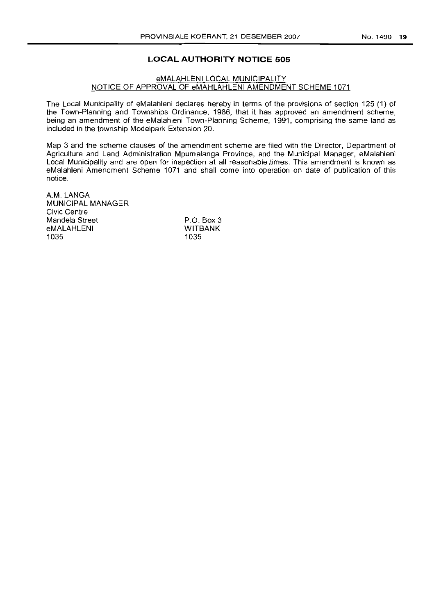#### No.1490 19

#### **LOCAL AUTHORITY NOTICE 505**

#### eMALAHLENI LOCAL MUNICIPALITY NOTICE OF APPROVAL OF eMAHLAHLENI AMENDMENT SCHEME 1071

The Local Municipality of eMalahleni declares hereby in terms of the provisions of section 125 (1) of the Town-Planning and Townships Ordinance, 1986, that it has approved an amendment scheme, being an amendment of the eMalahleni Town-Planning Scheme, 1991, comprising the same land as included in the township Modelpark Extension 20.

Map 3 and the scheme clauses of the amendment scheme are filed with the Director, Department of Agriculture and Land Administration Mpumalanga Province, and the Municipal Manager, eMalahleni Local Municipality and are open for inspection at all reasonable times. This amendment is known as eMalahleni Amendment Scheme 1071 and shall come into operation on date of publication of this notice.

A.M. LANGA MUNICIPAL MANAGER Civic Centre Mandela Street eMALAHLENI 1035

P.O. Box 3 WITBANK 1035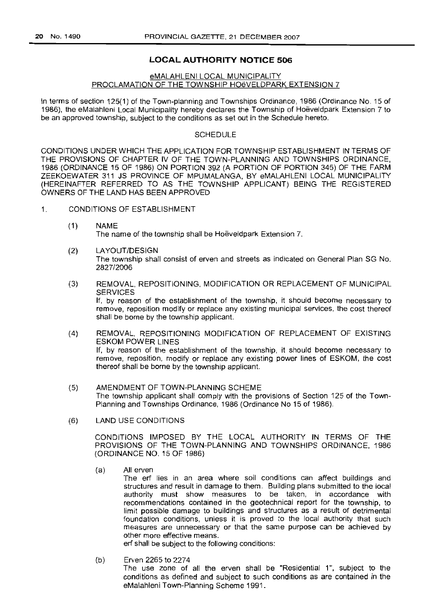#### eMALAHLENI LOCAL MUNICIPALITY PROCLAMATION OF THE TOWNSHIP HOEVELDPARK EXTENSION 7

In terms of section 125(1) of the Town-planning and Townships Ordinance, 1986 (Ordinance No. 15 of 1986), the eMalahleni Local Municipality hereby declares the Township of Hoeveldpark Extension 7 to be an approved township, subject to the conditions as set out in the Schedule hereto.

#### SCHEDULE

CONDITIONS UNDER WHICH THE APPLICATION FOR TOWNSHIP ESTABLISHMENT IN TERMS OF THE PROVISIONS OF CHAPTER IV OF THE TOWN-PLANNING AND TOWNSHIPS ORDINANCE, 1986 (ORDINANCE 15 OF 1986) ON PORTION 392 (A PORTION OF PORTION 345) OF THE FARM ZEEKOEWATER 311 JS PROVINCE OF MPUMALANGA, BY eMALAHLENI LOCAL MUNICIPALITY (HEREINAFTER REFERRED TO AS THE TOWNSHIP APPLICANT) BEING THE REGISTERED OWNERS OF THE LAND HAS BEEN APPROVED

- 1. CONDITIONS OF ESTABLISHMENT
	- (1) NAME The name of the township shall be Hoeveldpark Extension 7.
	- (2) LAYOUT/DESIGN The township shall consist of erven and streets as indicated on General Plan SG No. *2827/2006*
	- (3) REMOVAL, REPOSITIONING, MODIFICATION OR REPLACEMENT OF MUNICIPAL SERVICES If, by reason of the establishment of the township, it should become necessary to remove, reposition modify or replace any existing municipal services, the cost thereof shall be borne by the township applicant.
	- (4) REMOVAL, REPOSITIONING MODIFICATION OF REPLACEMENT OF EXISTING **ESKOM POWER LINES** If, by reason of the establishment of the township, it should become necessary to remove, reposition, modify or replace any existing power lines of ESKOM, the cost thereof shall be borne by the township applicant.
	- (5) AMENDMENT OF TOWN-PLANNING SCHEME The township applicant shall comply with the provisions of Section 125 of the Town-Planning and Townships Ordinance, 1986 (Ordinance No 15 of 1986).
	- (6) LAND USE CONDITIONS

CONDITIONS IMPOSED BY THE LOCAL AUTHORITY IN TERMS OF THE PROVISIONS OF THE TOWN-PLANNING AND TOWNSHIPS ORDINANCE, 1986 (ORDINANCE NO. 15 OF 1986)

(a) All erven

The erf lies in an area where soil conditions can affect buildings and structures and result in damage to them. Building plans submitted to the local authority must show measures to be taken, in accordance with recommendations contained in the geotechnical report for the township, to limit possible damage to buildings and structures as a result of detrimental foundation conditions, unless it is proved to the local authority that such measures are unnecessary or that the same purpose can be achieved by other more effective means.

erf shall be subject to the following conditions:

(b) Erven 2265 to 2274 The use zone of all the erven shall be "Residential 1", SUbject to the conditions as defined and subject to such conditions as are contained in the eMalahleni Town-Planning Scheme 1991 .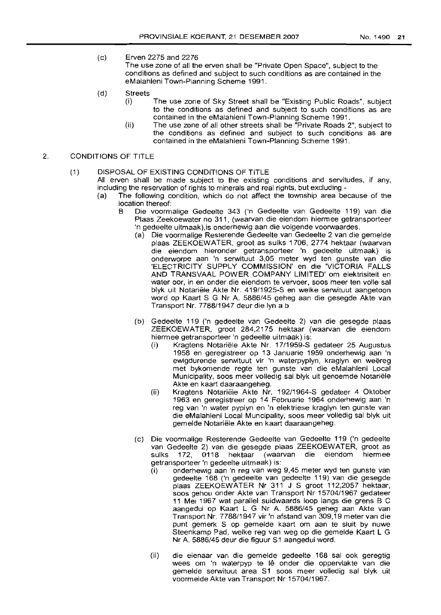- (c) Erven 2275 and 2276 The use zone of all the erven shall be "Private Open Space", subject to the conditions as defined and subject to such conditions as are contained in the eMalahleni Town-Planning Scheme 1991.
- (d) Streets
	- (i) The use zone of Sky Street shall be "Existing Public Roads", subject to the conditions as defined and subject to such conditions as are contained in the eMalahleni Town-Planning Scheme 1991.
	- (ii) The use zone of all other streets shall be "Private Roads 2", subject to the conditions as defined and subject to such conditions as are contained in the eMalahleni Town-Planning Scheme 1991 .
- 2. CONDITIONS OF TITLE

#### (1) DISPOSAL OF EXISTING CONDITIONS OF TITLE

All erven shall be made subject to the existing conditions and servitudes, if any, including the reservation of rights to minerals and real rights, but excluding -

- (a) The following condition, which do not affect the township area because of the location thereof:
	- B Die voormalige Gedeelte 343 ('n Gedeelte van Gedeelte 119) van die Plaas Zeekoewater no 311, (waarvan die eiendom hiermee getransporteer 'n gedeelte uitmaak),is onderhewig aan die volgende voorwaardes.
		- (a) Die voormalige Resterende Gedeelte van Gedeelte 2 van die gemelde plaas ZEEKOEWATER, groot as sulks 1706, 2774 hektaar (waarvan die eiendom hieronder getransporteer 'n gedeelte uitmaak) is onderworpe aan 'n serwituut 3,05 meter wyd ten gunste van die 'ELECTRICITY SUPPLY COMMISSION' en die 'VICTORIA FALLS AND TRANSVAAL POWER COMPANY LIMITED' om elektrisiteit en water oor, in en onder die eiendom te vervoer, soos meer ten volle sal blyk uit Notariele Akte Nr. 419/1925-S en welke serwituut aangetoon word op Kaart S G Nr A. 5886/45 geheg aan die gesegde Akte van Transport Nr. 7788/1947 deur die Iyn a b
		- (b) Gedeelte 119 ('n gedeelte van Gedeelte 2) van die gesegde plaas ZEEKOEWATER, groot 284,2175 hektaar (waarvan die eiendom hiermee getransporteer 'n gedeelte uitmaak) is:
			- (i) Kragtens Notariele Akte Nr. 17/1959-S gedateer 25 Augustus 1958 en geregistreer op 13 Januarie 1959 onderhewig aan 'n ewigdurende serwituut vir 'n waterpyplyn, kraglyn en weereq met bykomende regte ten gunste van die eMalahleni Local Municipality, soos meer volledig sal blyk uit genoemde Notariele Akte en kaart daaraangeheg.
			- (ii) Kragtens Notariele Akte Nr. 192/1964-S gedateer 4 Oktober 1963 en geregistreer op 14 Februarie 1964 onderhewig aan 'n reg van 'n water pyplyn en 'n elektriese kraglyn ten gunste van die eMalahleni Local Muncipality, soos meer volledig sal blyk uit gemelde Notariele Akte en kaart daaraangeheg.
		- (c) Die voormalige Resterende Gedeelte van Gedeelte 119 ('n gedeelte van Gedeelte 2) van die gesegde plaas ZEEKOEWATER, groat as sulks 172, 0118 hektaar (waarvan die eiendom hiermee getransporteer 'n gedeelte uitmaak) is:
			- (i) onderhewig aan 'n reg van weg 9,45 meter wyd ten gunste van gedeelte 168 ('n gedeelte van gedeelte 119) van die gesegde plaas ZEEKOEWATER Nr 311 J S groot 112,2057 hektaar, soos gehou onder Akte van Transport Nr 15704/1967 gedateer 11 Mei 1967 wat parallel suidwaards loop langs die grens B C aangedui op Kaart L G Nr A. 5886/45 geheg aan Akte van Transport Nr. 7788/1947 vir 'n afstand van 309,19 meter van die punt gemerk S op gemelde kaart om aan te sluit by nuwe Steenkamp Pad, welke reg van weg op die gemelde Kaart L G Nr A. 5886/45 deur die figuur S1 aangedui word.
			- (ii) die eienaar van die gemelde gedeelte 168 sal oak geregtig wees om 'n waterpyp te Iê onder die oppervlakte van die gemelde serwituut area S1 soos meer volledig sal blyk uit voormelde Akte van Transport Nr 15704/1967.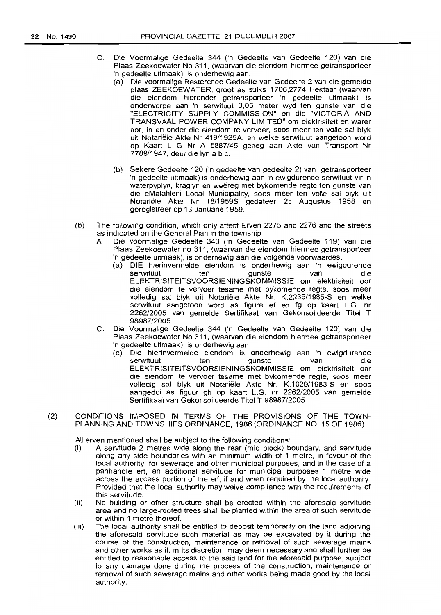- C. Die Voormalige Gedeelte 344 ('n Gedeelte van Gedeelte 120) van die Plaas Zeekoewater No 311, (waarvan die eiendom hiermee getransporteer 'n gedeelte uitmaak), is onderhewig aan.
	- (a) Die voormalige Resterende Gedeelte van Gedeelte 2 van die gemelde plaas ZEEKOEWATER, groot as sulks 1706,2774 Hektaar (waarvan die eiendom hieronder getransporteer 'n gedeelte uitmaak) is onderworpe aan 'n serwituut 3,05 meter wyd ten gunste van die "ELECTRICITY SUPPLY COMMISSION" en die "VICTORIA AND TRANSVAAL POWER COMPANY LIMITED" om elektrisiteit en warer oor, in en onder die eiendom te vervoer, soos meer ten volle sal blyk uit Notariele Akte Nr 419/1925A, en welke serwituut aangetoon word op Kaart L G Nr A 5887/45 geheg aan Akte van Transport Nr 7789/1947, deur die Iyn abc.
	- (b) Sekere Gedeelte 120 ('n gedeelte van gedeelte 2) van getransporteer 'n gedeelte uitmaak) is onderhewig aan 'n ewigdurende serwituut vir 'n waterpyplyn, kraglyn en weëreg met bykomende regte ten gunste van die eMalahleni Local Municipality, soos meer ten volle sal blyk uit Notariele Akte Nr 18/1959S gedateer 25 Augustus 1958 en geregistreer op 13 Januarie 1959.
- (b) The following condition, which only affect Erven 2275 and 2276 and the streets as indicated on the General Plan in the township
	- A Die voormalige Gedeelte 343 ('n Gedeelte van Gedeelte 119) van die Plaas Zeekoewater no 311, (waarvan die eiendom hiermee getransporteer 'n gedeelte uitmaak), is onderhewig aan die volgende voorwaardes.
		- (a) DIE hierinvermelde eiendom is onderhewig aan 'n ewigdurende serwituut ten gunste van die ELEKTRISITEITSVOORSIENINGSKOMMISSIE om elektrisiteit oor die eiendom te vervoer tesame met bykomende regte, soos meer volledig sal blyk uit Notariele Akte Nr. K.2235/1985-S en welke serwituut aangetoon word as figure ef en fg op kaart L.G. nr 2262/2005 van gemelde Sertifikaat van Gekonsolideerde Titel T 98987/2005
	- C. Die Voormalige Gedeelte 344 ('n Gedeelte van Gedeelte 120) van die Plaas Zeekoewater No 311, (waarvan die eiendom hiermee getransporteer 'n gedeelte uitmaak), is onderhewig aan.
		- (c) Die hierinvermelde eiendom is onderhewig aan 'n ewigdurende serwituut ten gunste van die ELEKTRISITEITSVOORSIENINGSKOMMISSIE am elektrisiteit oar die eiendom te vervoer tesame met bykomende regte, soos meer volledig sal blyk uit Notariele Akte Nr. K.1029/1983-S en soas aangedui as figuur gh op kaart L.G. nr 2262/2005 van gemelde Sertifikaat van Gekonsolideerde Titel T 98987/2005
- (2) CONDITIONS IMPOSED IN TERMS OF THE PROVISIONS OF THE TOWN-PLANNING AND TOWNSHIPS ORDINANCE, 1986 (ORDINANCE NO. 15 OF 1986)

All erven mentioned shall be subject to the following conditions:

- (i) A servitude 2 metres wide along the rear (mid block) boundary; and servitude along any side boundaries with an minimum width of 1 metre, in favour of the local authority, for sewerage and other municipal purposes, and in the case of a panhandle erf, an additional servitude for municipal purposes 1 metre wide across the access portion of the ert, if and when required by the local authority: Provided that the local authority may waive compliance with the requirements of this servitude.
- (ii) No building or other structure shall be erected within the aforesaid servitude area and no large-rooted trees shall be planted within the area of such servitude or within 1 metre thereof.
- (iii) The local authority shall be entitled to deposit temporarily on the land adjoining the aforesaid servitude such material as may be excavated by it during the course of the construction, maintenance or removal of such sewerage mains and other works as it, in its discretion, may deem necessary and shall further be entitled to reasonable access to the said land for the aforesaid purpose, subject to any damage done during the process of the construction, maintenance or removal of such sewerage mains and other works being made good by the local authority.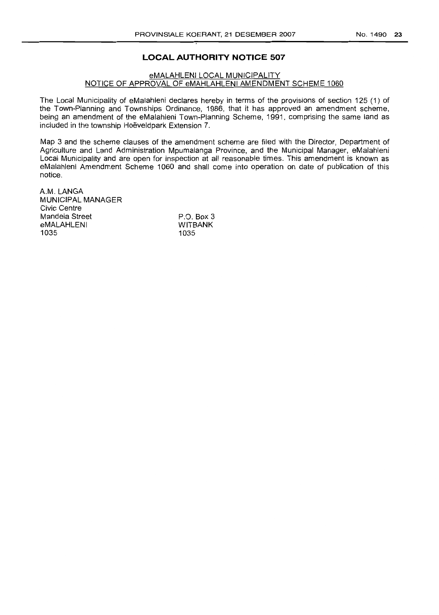#### eMALAHLENI LOCAL MUNICIPALITY NOTICE OF APPROVAL OF eMAHLAHLENI AMENDMENT SCHEME 1060

The Local Municipality of eMalahleni declares hereby in terms of the provisions of section 125 (1) of the Town-Planning and Townships Ordinance, 1986, that it has approved an amendment scheme, being an amendment of the eMalahleni Town-Planning Scheme, 1991, comprising the same land as included in the township Hoëveldpark Extension 7.

Map 3 and the scheme clauses of the amendment scheme are filed with the Director, Department of Agriculture and Land Administration Mpumalanga Province, and the Municipal Manager, eMalahleni Local Municipality and are open for inspection at all reasonable times. This amendment is known as eMalahleni Amendment Scheme 1060 and shall come into operation on date of publication of this notice.

A.M. LANGA MUNICIPAL MANAGER Civic Centre Mandela Street eMALAHLENI 1035

P.O. Box 3 WITBANK 1035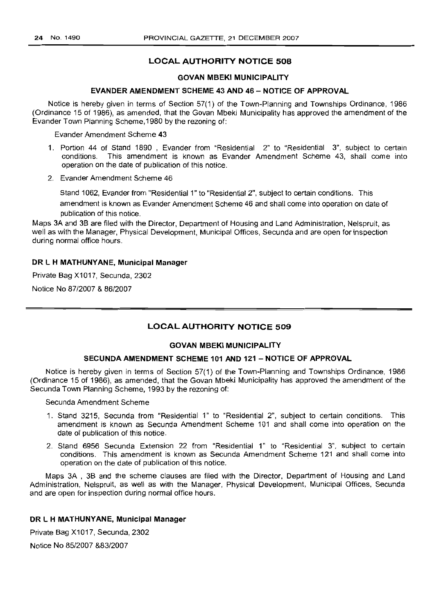#### **GOVAN MBEKI MUNICIPALITY**

#### **EVANDER AMENDMENT SCHEME 43 AND 46 - NOTICE OF APPROVAL**

Notice is hereby given in terms of Section 57(1) of the Town-Planning and Townships Ordinance, 1986 (Ordinance 15 of 1986), as amended, that the Govan Mbeki Municipality has approved the amendment of the Evander Town Planning Scheme, 1980 by the rezoning of:

Evander Amendment Scheme 43

- 1. Portion 44 of Stand 1890 , Evander from "Residential 2" to "Residential 3", subject to certain conditions. This amendment is known as Evander Amendment Scheme 43, shall come into operation on the date of publication of this notice.
- 2. Evander Amendment Scheme 46

Stand 1062, Evander from "Residential 1" to "Residential 2", subject to certain conditions. This amendment is known as Evander Amendment Scheme 46 and shall come into operation on date of publication of this notice.

Maps 3A and 3B are filed with the Director, Department of Housing and Land Administration, Nelspruit, as well as with the Manager, Physical Development, Municipal Offices, Secunda and are open for inspection during normal office hours.

#### **DR L H MATHUNYANE, Municipal Manager**

Private Bag X1017, Secunda, 2302

Notice No 87/2007 & 86/2007

#### **LOCAL AUTHORITY NOTICE 509**

#### **GOVAN MBEKI MUNICIPALITY**

#### **SECUNDA AMENDMENT SCHEME 101 AND 121 - NOTICE OF APPROVAL**

Notice is hereby given in terms of Section 57(1) of the Town-Planning and Townships Ordinance, 1986 (Ordinance 15 of 1986), as amended, that the Govan Mbeki Municipality has approved the amendment of the Secunda Town Planning Scheme, 1993 by the rezoning of:

Secunda Amendment Scheme

- 1. Stand 3215, Secunda from "Residential 1" to "Residential 2", subject to certain conditions. This amendment is known as Secunda Amendment Scheme 101 and shall come into operation on the date of publication of this notice.
- 2. Stand 6956 Secunda Extension 22 from "Residential 1" to "Residential 3", subject to certain conditions. This amendment is known as Secunda Amendment Scheme 121 and shall come into operation on the date of publication of this notice.

Maps 3A , 3B and the scheme clauses are filed with the Director, Department of Housing and Land Administration, Nelspruit, as well as with the Manager, Physical Development, Municipal Offices, Secunda and are open for inspection during normal office hours.

#### **DR L H MATHUNYANE, Municipal Manager**

Private Bag X1017, Secunda, 2302

Notice No 85/2007 &83/2007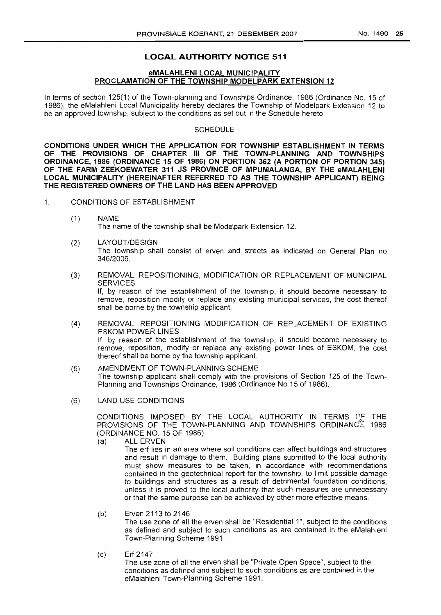#### **eMALAHLENI LOCAL MUNICIPALITY PROCLAMATION OF THE TOWNSHIP MODELPARK EXTENSION 12**

In terms of section 125(1) of the Town-planning and Townships Ordinance, 1986 (Ordinance No. 15 of 1986), the eMalahleni Local Municipality hereby declares the Township of Modelpark Extension 12 to be an approved township, subject to the conditions as set out in the Schedule hereto.

#### **SCHEDULE**

**CONDITIONS UNDER WHICH THE APPLICATION FOR TOWNSHIP ESTABLISHMENT IN TERMS OF THE PROVISIONS OF CHAPTER III OF THE TOWN-PLANNING AND TOWNSHIPS ORDINANCE, 1986 (ORDINANCE 15 OF 1986) ON PORTION 362 (A PORTION OF PORTION 345) OF THE FARM ZEEKOEWATER 311 JS PROVINCE OF MPUMALANGA, BY THE eMALAHLENI LOCAL MUNICIPALITY (HEREINAFTER REFERRED TO AS THE TOWNSHIP APPLICANT) BEING THE REGISTERED OWNERS OF THE LAND HAS BEEN APPROVED**

- 1. CONDITIONS OF ESTABLISHMENT
	- (1) NAME The name of the township shall be Modelpark Extension 12.
	- (2) LAYOUT/DESIGN The township shall consist of erven and streets as indicated on General Plan no 346/2006.
	- (3) REMOVAL, REPOSITIONING, MODIFICATION OR REPLACEMENT OF MUNICIPAL SERVICES

If, by reason of the establishment of the township, it should become necessary to remove, reposition modify or replace any existing municipal services, the cost thereof shall be borne by the township applicant.

- (4) REMOVAL, REPOSITIONING MODIFICATION OF REPLACEMENT OF EXISTING ESKOM POWER LINES If, by reason of the establishment of the township, it should become necessary to remove, reposition, modify or replace any existing power lines of ESKOM, the cost thereof shall be borne by the township applicant.
- (5) AMENDMENT OF TOWN-PLANNING SCHEME The township applicant shall comply with the provisions of Section 125 of the Town-Planning and Townships Ordinance, 1986 (Ordinance No 15 of 1986).
- (6) LAND USE CONDITIONS

CONDITIONS IMPOSED BY THE LOCAL AUTHORITY IN TERMS C'E THE PROVISIONS OF THE TOWN-PLANNING AND TOWNSHIPS ORDINANC<sup>®</sup>, 1986 (ORDINANCE NO. 15 OF 1986)

(a) ALL ERVEN

The erf lies in an area where soil conditions can affect buildings and structures and result in damage to them. Building plans submitted to the local authority must show measures to be taken, in accordance with recommendations contained in the geotechnical report for the township, to limit possible damage to buildings and structures as a result of detrimental foundation conditions, unless it is proved to the local authority that such measures are unnecessary or that the same purpose can be achieved by other more effective means.

- (b) Erven 2113 to 2146 The use zone of all the erven shall be "Residential 1", subject to the conditions as defined and subject to such conditions as are contained in the eMalahleni Town-Planning Scheme 1991.
- (c) Erf 2147 The use zone of all the erven shall be "Private Open Space", subject to the conditions as defined and subject to such conditions as are contained in the eMalahleni Town-Planning Scheme 1991.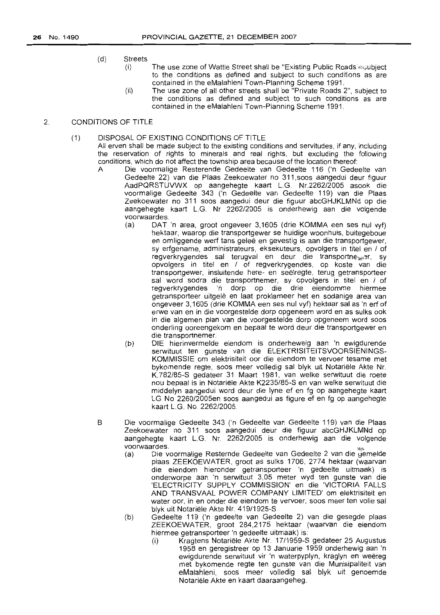- (d) Streets
	- (i) The use zone of Wattle Street shall be "Existing Public Roads subject to the conditions as defined and subject to such conditions as are contained in the eMalahleni Town-Planning Scheme 1991.
	- (ii) The use zone of all other streets shall be "Private Roads 2", subject to the conditions as defined and subject to such conditions as are contained in the eMalahleni Town-Planning Scheme 1991.

#### 2. CONDITIONS OF TITLE

#### (1) DISPOSAL OF EXISTING CONDITIONS OF TITLE

All erven shall be made subject to the existing conditions and servitudes, if any, including the reservation of rights to minerals and real rights, but excluding the following conditions, which do not affect the township area because of the location thereof:

- A Die voormalige Resterende Gedeelte van Gedeelte 116 ('n Gedeelte van Gedeelte 22) van die Plaas Zeekoewater no 311,soos aangedui deur figuur AadPQRSTUVWX op aangehegte kaart L.G Nr.2262/2005 asook die voormalige Gedeelte 343 ('n Gedeelte van Gedeelte 119) van die Plaas Zeekoewater no 311 soos aangedui deur die figuur abcGHJKLMNd op die aangehegte kaart L.G. Nr 2262/2005 is onderhewig aan die volgende voorwaardes.
	- (a) OAT 'n area, groot ongeveer 3,1605 (drie KOMMA een ses nul vyf) hektaar, waarop die transportgewer se huidige woonhuis, buitegeboue en omliggende werf tans gelee en gevestig is aan die transportgewer, sy erfgename, administrateurs, eksekuteurs, opvolgers in titel en / of regverkrygendes sal terugval en deur die transportnesser, sy opvolgers in titel en 1 of regverkrygendes, op koste van die transportgewer, insluitende here- en seelreqte, terug getransporteer sal word sodra die transportnemer, sy opvolgers in titel en / of regverkrygendes 'n dorp op die drie eiendomme hiermee getransporteer uitqele en laat proklameer het en sodanige area van ongeveer 3,1605 (drie KOMMA een ses nul vyf) hektaar sal as 'n erf of erwe van en in die voorgestelde dorp opgeneem word en as sulks ook in die algemen plan van die voorgestelde dorp opgeneem word soos onderling ooreengekom en bepaal te word deur die transportgewer en die transportnemer.
	- (b) DIE hierinvermelde eiendom is onderheweig aan 'n ewigdurende serwituut ten gunste van die ELEKTRISITEITSVOORSIENINGS-KOMMISSIE om elektrisiteit oor die eiendom te vervoer tesame met bykomende regte, soos meer volledig sal blyk uit Notariele Akte Nr. K.782/85-S gedateer 31 Maart 1981, van welke serwituut die roete nou bepaal is in Notariele Akte K2235/85-S en van welke serwituut die middelyn aangedui word deur die Iyne ef en fg op aanqeheqte kaart LG No 2260/2005en soos aangedui as figure ef en fg op aangehegte kaart L.G. No. 2262/2005.
- B Die voormalige Gedeelte 343 ('n Gedeelte van Gedeelte 119) van die Plaas Zeekoewater no 311 soos aangedui deur die figuur abcGHJKLMNd op aangehegte kaart L.G. Nr. 2262/2005 is onderhewig aan die volgende woorwaardes. which is a set of the contract of the contract of the contract of the contract of the contract of the contract of the contract of the contract of the contract of the contract of the contract of the contract of
	- (a) Die voormalige Resternde Gedeelte van Gedeelte 2 van die yemelde plaas ZEEKOEWATER, groot as sulks 1706, 2774 hektaar (waarvan die eiendom hieronder getransporteer 'n gedeelte uitmaak) is onderworpe aan 'n serwituut 3,05 meter wyd ten gunste van die 'ELECTRICITY SUPPLY COMMISSION' en die 'VICTORIA FALLS AND TRANSVAAL POWER COMPANY LIMITED' om elektrisiteit en water oor, in en onder die eiendom te vervoer, soos meer ten volle sal blyk uit Notarieie Akte Nr. 419/1925-S.
	- (b) Gedeelte 119 ('n gedeelte van Gedeelte 2) van die gesegde plaas ZEEKOEWATER, groot 284,2175 hektaar (waarvan die eiendom hiermee getransporteer 'n gedeelte uitmaak) is
		- (i) Kragtens Notariele Akte Nr. 17/1959-S gedateer 25 Augustus 1958 en geregistreer op 13 Januarie 1959 onderhewig aan 'n ewigdurende serwituut vir 'n waterpyplyn, kraglyn en weereq met bykomende regte ten gunste van die Munisipaliteit van eMalahleni, soos meer volledig sal blyk uit genoemde Notariele Akte en kaart daaraangeheg.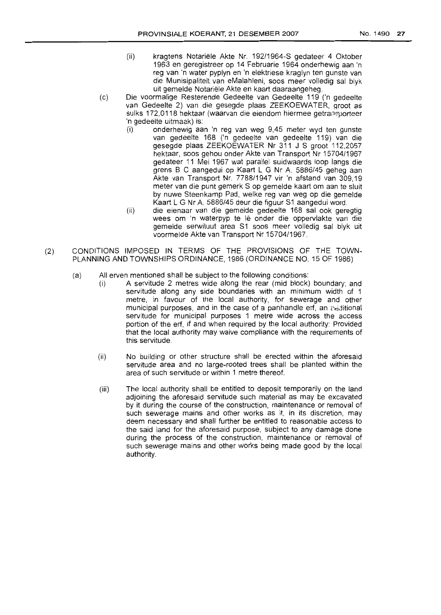- (ii) kragtens Notariele Akte Nr. 192/1964-S gedateer 4 Oktober 1963 en geregistreer op 14 Februarie 1964 onderhewig aan 'n reg van 'n water pyplyn en 'n elektriese kraglyn ten gunste van die Munisipaliteit van eMalahleni, soos meer volledig sal blyk uit gemelde Notariele Akte en kaart daaraangeheg.
- (c) Die voormalige Resterende Gedeelte van Gedeelte 119 ('n gedeelte van Gedeelte 2) van die gesegde plaas ZEEKOEWATER, qroot as sulks 172,0118 hektaar (waarvan die eiendom hiermee getral\*porteer 'n gedeelte uitmaak) is:
	- (i) onderhewig aan 'n reg van weg 9,45 meter wyd ten gunste van gedeelte 168 ('n gedeelte van gedeelte 119) van die gesegde plaas ZEEKOEWATER Nr 311 J S groot 112,2057 hektaar, soos gehou onder Akte van Transport Nr 15704/1967 gedateer 11 Mei 1967 wat parallel suidwaards loop langs die grens B C aangedui op Kaart L G Nr A. 5886/45 geheg aan Akte van Transport Nr. 7788/1947 vir 'n afstand van 309,19 meter van die punt gemerk S op gemelde kaart om aan te sluit by nuwe Steenkamp Pad, welke reg van weg op die gemelde Kaart L G Nr A. 5886/45 deur die figuur S1 aangedui word.
	- (ii) die eienaar van dje gemelde gedeelte 168 sal ook geregtig wees om 'n waterpyp te Iê onder die oppervlakte van die gemelde serwituut area S1 soos meer volledig sal blyk uit voormelde Akte van Transport Nr 15704/1967.
- (2) CONDITIONS IMPOSED IN TERMS OF THE PROVISIONS OF THE TOWN-PLANNING AND TOWNSHIPS ORDINANCE, 1986 (ORDINANCE NO. 15 OF 1986)
	- (a) All erven mentioned shall be subject to the following conditions:
		- (i) A servitude 2 metres wide along the rear (mid block) boundary; and servitude along any side boundaries with an minimum width of 1 metre, in favour of the local authority, for sewerage and other municipal purposes, and in the case of a panhandle erf, an  $\approx$  itional servitude for municipal purposes 1 metre wide across the access portion of the erf, if and when required by the local authority: Provided that the local authority may waive compliance with the requirements of this servitude.
		- (ii) No building or other structure shall be erected within the aforesaid servitude area and no large-rooted trees shall be planted within the area of such servitude or within 1 metre thereof.
		- (iii) The local authority shall be entitled to deposit temporarily on the land adjoining the aforesaid servitude such material as may be excavated by it during the course of the construction, maintenance or removal of such sewerage mains and other works as it, in its discretion, may deem necessary and shall further be entitled to reasonable access to the said land for the aforesaid purpose, subject to any damage done during the process of the construction, maintenance or removal of such sewerage mains and other works being made good by the local authority.